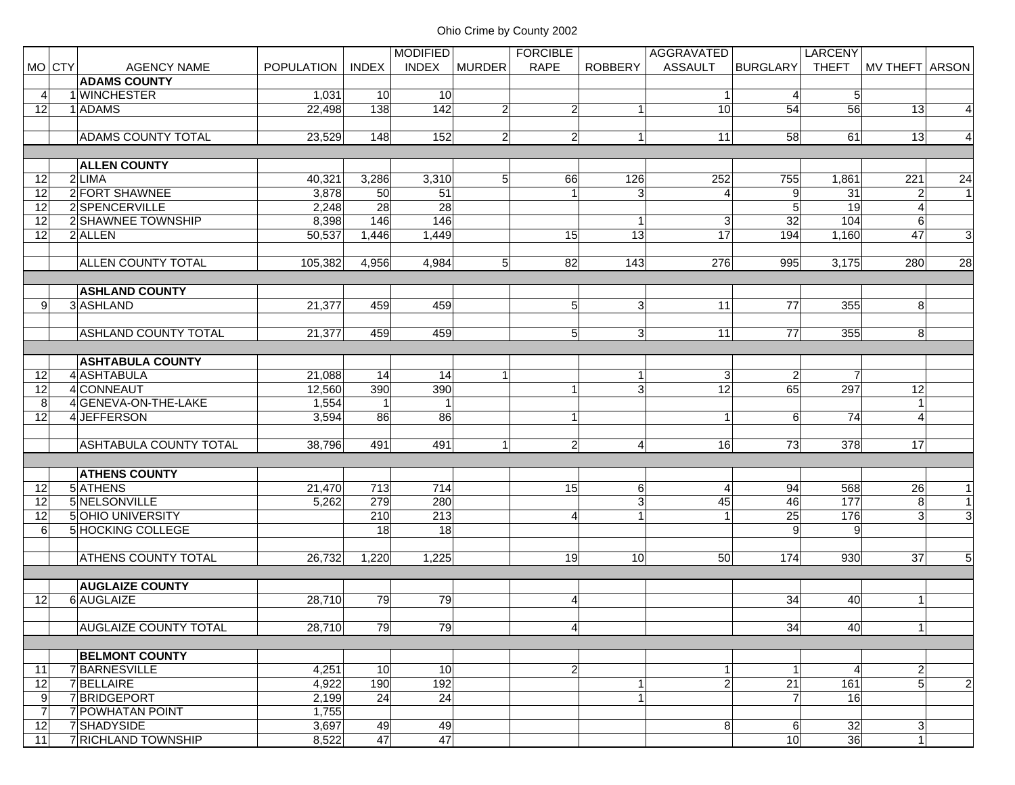|                 |        |                               |                   |              | <b>MODIFIED</b> |                | <b>FORCIBLE</b> |                | AGGRAVATED     |                      | <b>LARCENY</b>  |                   |                |
|-----------------|--------|-------------------------------|-------------------|--------------|-----------------|----------------|-----------------|----------------|----------------|----------------------|-----------------|-------------------|----------------|
|                 | MO CTY | <b>AGENCY NAME</b>            | <b>POPULATION</b> | <b>INDEX</b> | <b>INDEX</b>    | <b>MURDER</b>  | <b>RAPE</b>     | <b>ROBBERY</b> | <b>ASSAULT</b> | <b>BURGLARY</b>      | <b>THEFT</b>    | MV THEFT ARSON    |                |
|                 |        | <b>ADAMS COUNTY</b>           |                   |              |                 |                |                 |                |                |                      |                 |                   |                |
| 4               |        | 1 WINCHESTER                  | 1,031             | 10           | 10              |                |                 |                | $\vert$ 1      | 4                    | 5 <sub>l</sub>  |                   |                |
| 12              |        | 1 ADAMS                       | 22,498            | 138          | 142             | $\overline{2}$ | $\overline{2}$  | $\mathbf{1}$   | 10             | 54                   | 56              | 13                | $\overline{4}$ |
|                 |        |                               |                   |              |                 |                |                 |                |                |                      |                 |                   |                |
|                 |        | <b>ADAMS COUNTY TOTAL</b>     | 23,529            | 148          | 152             | $\overline{2}$ | $\overline{2}$  | 1              | 11             | 58                   | 61              | 13                | $\overline{4}$ |
|                 |        |                               |                   |              |                 |                |                 |                |                |                      |                 |                   |                |
|                 |        | <b>ALLEN COUNTY</b>           |                   |              |                 |                |                 |                |                |                      |                 |                   |                |
| 12              |        | 2 LIMA                        | 40,321            | 3,286        | 3,310           | 5              | 66              | 126            | 252            | 755                  | 1,861           | 221               | 24             |
| 12              |        | 2 FORT SHAWNEE                | 3,878             | 50           | 51              |                | $\overline{1}$  | 3              | $\overline{4}$ | $\boldsymbol{9}$     | $\overline{31}$ | $\overline{a}$    | $\vert$ 1      |
| 12              |        | 2SPENCERVILLE                 | 2,248             | 28           | 28              |                |                 |                |                | $\overline{5}$       | 19              | $\overline{4}$    |                |
| 12              |        | 2 SHAWNEE TOWNSHIP            | 8,398             | 146          | 146             |                |                 | $\mathbf{1}$   | 3 <sup>1</sup> | $\overline{32}$      | 104             | $6\phantom{.}6$   |                |
| 12              |        | 2 ALLEN                       | 50,537            | 1,446        | 1,449           |                | 15              | 13             | 17             | 194                  | 1,160           | 47                | 3              |
|                 |        |                               |                   |              |                 |                |                 |                |                |                      |                 |                   |                |
|                 |        | <b>ALLEN COUNTY TOTAL</b>     | 105,382           | 4,956        | 4,984           | 5              | 82              | 143            | 276            | 995                  | 3,175           | 280               | 28             |
|                 |        |                               |                   |              |                 |                |                 |                |                |                      |                 |                   |                |
|                 |        | <b>ASHLAND COUNTY</b>         |                   |              |                 |                |                 |                |                |                      |                 |                   |                |
| 9               |        | 3ASHLAND                      | 21,377            | 459          | 459             |                | 5 <sup>5</sup>  | $\overline{3}$ | 11             | 77                   | 355             | 8                 |                |
|                 |        |                               |                   |              |                 |                |                 |                |                |                      |                 |                   |                |
|                 |        | <b>ASHLAND COUNTY TOTAL</b>   | 21,377            | 459          | 459             |                | 5 <sup>1</sup>  | $\mathbf{3}$   | 11             | 77                   | 355             | 8                 |                |
|                 |        |                               |                   |              |                 |                |                 |                |                |                      |                 |                   |                |
|                 |        | <b>ASHTABULA COUNTY</b>       |                   |              |                 |                |                 |                |                |                      |                 |                   |                |
| 12              |        | 4 ASHTABULA                   | 21,088            | 14           | 14              |                |                 | $\mathbf{1}$   | 3 <sup>1</sup> | $\overline{2}$       | $\overline{7}$  |                   |                |
| 12              |        | 4 CONNEAUT                    | 12,560            | 390          | 390             |                | $\mathbf{1}$    | 3 <sup>l</sup> | 12             | 65                   | 297             | 12                |                |
| 8               |        | 4 GENEVA-ON-THE-LAKE          | 1,554             | $\vert$ 1    | 1               |                |                 |                |                |                      |                 | $\overline{1}$    |                |
| $\overline{12}$ |        | 4 JEFFERSON                   | 3,594             | 86           | 86              |                | $\mathbf{1}$    |                | $\vert$        | 6                    | 74              | 4                 |                |
|                 |        |                               |                   |              |                 |                |                 |                |                |                      |                 |                   |                |
|                 |        | <b>ASHTABULA COUNTY TOTAL</b> | 38,796            | 491          | 491             | 1              | $\overline{2}$  | $\overline{4}$ | 16             | 73                   | 378             | 17                |                |
|                 |        |                               |                   |              |                 |                |                 |                |                |                      |                 |                   |                |
|                 |        | <b>ATHENS COUNTY</b>          |                   |              |                 |                |                 |                |                |                      |                 |                   |                |
| 12              |        | 5 ATHENS                      | 21,470            | 713          | 714             |                | 15              | $6 \mid$       | $\overline{4}$ | 94                   | 568             | 26                | $\mathbf{1}$   |
| 12              |        | 5 NELSONVILLE                 | 5,262             | 279          | 280             |                |                 | 3 <sup>l</sup> | 45             | 46                   | 177             | 8                 | $\mathbf{1}$   |
| 12              |        | 5 OHIO UNIVERSITY             |                   | 210          | 213             |                | 4               | $\mathbf{1}$   | $\mathbf{1}$   | $\overline{25}$      | 176             | $\overline{3}$    | $\overline{3}$ |
| 6               |        | 5 HOCKING COLLEGE             |                   | 18           | $\overline{18}$ |                |                 |                |                | 9                    | 9               |                   |                |
|                 |        |                               |                   |              |                 |                |                 |                |                |                      |                 |                   |                |
|                 |        | <b>ATHENS COUNTY TOTAL</b>    | 26,732            | 1,220        | 1,225           |                | 19              | 10             | 50             | 174                  | 930             | 37                | 5 <sub>5</sub> |
|                 |        |                               |                   |              |                 |                |                 |                |                |                      |                 |                   |                |
|                 |        | <b>AUGLAIZE COUNTY</b>        |                   |              |                 |                |                 |                |                |                      |                 |                   |                |
| 12              |        | 6 AUGLAIZE                    | 28,710            | 79           | 79              |                | $\overline{4}$  |                |                | 34                   | 40              | $\mathbf{1}$      |                |
|                 |        |                               |                   |              |                 |                |                 |                |                |                      |                 |                   |                |
|                 |        | <b>AUGLAIZE COUNTY TOTAL</b>  | 28,710            | 79           | 79              |                | $\vert$         |                |                | 34                   | 40              | $\vert$           |                |
|                 |        |                               |                   |              |                 |                |                 |                |                |                      |                 |                   |                |
|                 |        | <b>BELMONT COUNTY</b>         |                   |              |                 |                |                 |                |                |                      |                 |                   |                |
| 11              |        | 7 BARNESVILLE                 | 4,251             | 10           | 10              |                | $\overline{2}$  |                | 11             |                      | $\overline{4}$  | $\overline{a}$    |                |
| 12              |        | 7BELLAIRE                     | 4,922             | 190          | 192             |                |                 | $\mathbf{1}$   | $\overline{2}$ | $\overline{21}$      | 161             | $\overline{5}$    | $\overline{2}$ |
| 9               |        | 7 BRIDGEPORT                  | 2,199             | 24           | 24              |                |                 | 1              |                | $\overline{7}$       | 16              |                   |                |
|                 |        | 7 POWHATAN POINT              |                   |              |                 |                |                 |                |                |                      |                 |                   |                |
| 7<br>12         |        | 7 SHADYSIDE                   | 1,755<br>3,697    | 49           | 49              |                |                 |                | 8 <sup>1</sup> |                      | 32              |                   |                |
|                 |        |                               |                   |              | 47              |                |                 |                |                | 6<br>10 <sup>1</sup> | 36              | 3<br>$\mathbf{1}$ |                |
| 11              |        | 7 RICHLAND TOWNSHIP           | 8,522             | 47           |                 |                |                 |                |                |                      |                 |                   |                |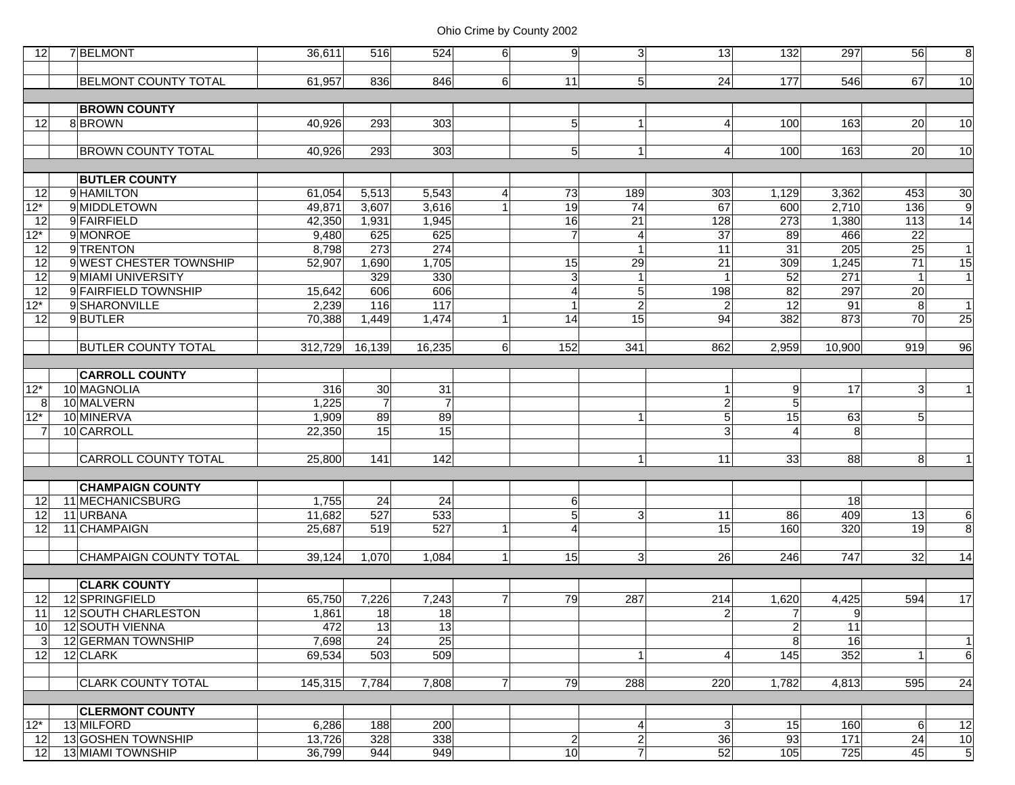| 12              | 7 BELMONT                   | 36.611  | 516             | 524              | 6 <sup>1</sup>   | 9               | 3 <sup>1</sup>   | 13 <sub>l</sub> | 132              | 297            | 56             | 8               |
|-----------------|-----------------------------|---------|-----------------|------------------|------------------|-----------------|------------------|-----------------|------------------|----------------|----------------|-----------------|
|                 |                             |         |                 |                  |                  |                 |                  |                 |                  |                |                |                 |
|                 | <b>BELMONT COUNTY TOTAL</b> | 61,957  | 836             | 846              | 6 <sup>1</sup>   | 11              | 5 <sub>5</sub>   | 24              | 177              | 546            | 67             | 10              |
|                 |                             |         |                 |                  |                  |                 |                  |                 |                  |                |                |                 |
|                 | <b>BROWN COUNTY</b>         |         |                 |                  |                  |                 |                  |                 |                  |                |                |                 |
| 12              | 8BROWN                      | 40,926  | 293             | 303              |                  | 5 <sup>1</sup>  | $\mathbf{1}$     | $\overline{4}$  | 100              | 163            | 20             | 10              |
|                 |                             |         |                 |                  |                  |                 |                  |                 |                  |                |                |                 |
|                 | <b>BROWN COUNTY TOTAL</b>   | 40,926  | 293             | 303              |                  | 5 <sup>1</sup>  | $\vert$ 1        | $\overline{4}$  | 100              | 163            | 20             | 10              |
|                 |                             |         |                 |                  |                  |                 |                  |                 |                  |                |                |                 |
|                 | <b>BUTLER COUNTY</b>        |         |                 |                  |                  |                 |                  |                 |                  |                |                |                 |
| 12              | 9 HAMILTON                  | 61,054  | 5,513           | 5,543            | $\left 4\right $ | 73              | 189              | 303             | 1,129            | 3,362          | 453            | $\overline{30}$ |
| $12*$           | 9 MIDDLETOWN                | 49,871  | 3,607           | 3,616            |                  | 19              | 74               | 67              | 600              | 2,710          | 136            | $\overline{9}$  |
| 12              | 9 FAIRFIELD                 | 42,350  | 1,931           | 1,945            |                  | $\overline{16}$ | $\overline{21}$  | 128             | $\overline{273}$ | 1,380          | 113            | $\overline{14}$ |
| $12*$           | 9 MONROE                    | 9,480   | 625             | 625              |                  | $\overline{7}$  | $\boldsymbol{4}$ | $\overline{37}$ | 89               | 466            | 22             |                 |
| 12              | 9TRENTON                    | 8,798   | 273             | 274              |                  |                 | $\mathbf{1}$     | 11              | $\overline{31}$  | 205            | 25             | $\vert$ 1       |
| 12              | 9 WEST CHESTER TOWNSHIP     | 52,907  | 1,690           | 1,705            |                  | 15              | 29               | 21              | 309              | 1,245          | 71             | 15              |
| $\overline{12}$ | 9 MIAMI UNIVERSITY          |         | 329             | 330              |                  | $\overline{3}$  | $\mathbf{1}$     |                 | 52               | 271            | $\overline{1}$ | $\mathbf{1}$    |
| $\overline{12}$ | 9 FAIRFIELD TOWNSHIP        | 15,642  | 606             | 606              |                  | 4               | $\overline{5}$   | 198             | 82               | 297            | 20             |                 |
| $12*$           | 9 SHARONVILLE               | 2,239   | $\frac{116}{1}$ | $\overline{117}$ |                  | 1               | $\overline{2}$   | $\overline{2}$  | 12               | 91             | 8              | $\overline{1}$  |
| 12              | 9BUTLER                     | 70,388  | 1,449           | 1,474            | 1                | 14              | 15               | 94              | 382              | 873            | 70             | $\overline{25}$ |
|                 |                             |         |                 |                  |                  |                 |                  |                 |                  |                |                |                 |
|                 | <b>BUTLER COUNTY TOTAL</b>  | 312,729 | 16,139          | 16,235           | 6 <sup>1</sup>   | 152             | 341              | 862             | 2,959            | 10,900         | 919            | 96              |
|                 |                             |         |                 |                  |                  |                 |                  |                 |                  |                |                |                 |
|                 | <b>CARROLL COUNTY</b>       |         |                 |                  |                  |                 |                  |                 |                  |                |                |                 |
| $12*$           | 10 MAGNOLIA                 | 316     | 30              | 31               |                  |                 |                  | 1               | 9                | 17             | 3              | $\mathbf 1$     |
| 8               | 10 MALVERN                  | 1,225   | $\overline{7}$  | $\overline{7}$   |                  |                 |                  | $\overline{2}$  | GГ               |                |                |                 |
| $12*$           | 10 MINERVA                  | 1,909   | 89              | 89               |                  |                 | $\mathbf{1}$     | 5 <sub>5</sub>  | 15               | 63             | 5 <sup>1</sup> |                 |
| 7               | 10 CARROLL                  | 22,350  | 15              | 15               |                  |                 |                  | 3               | $\overline{4}$   | 8              |                |                 |
|                 |                             |         |                 |                  |                  |                 |                  |                 |                  |                |                |                 |
|                 | CARROLL COUNTY TOTAL        | 25,800  | 141             | 142              |                  |                 | $\vert$ 1        | 11              | 33               | 88             | 8 <sup>1</sup> | $\mathbf{1}$    |
|                 |                             |         |                 |                  |                  |                 |                  |                 |                  |                |                |                 |
|                 | <b>CHAMPAIGN COUNTY</b>     |         |                 |                  |                  |                 |                  |                 |                  |                |                |                 |
| 12              | 11 MECHANICSBURG            | 1,755   | 24              | 24               |                  | $6 \mid$        |                  |                 |                  | 18             |                |                 |
| 12              | 11 URBANA                   | 11,682  | 527             | 533              |                  | 5 <sup>1</sup>  | $\mathbf{3}$     | 11              | 86               | 409            | 13             | 6               |
| 12              | 11 CHAMPAIGN                | 25,687  | 519             | 527              |                  | $\overline{4}$  |                  | 15              | 160              | 320            | 19             | 8               |
|                 |                             |         |                 |                  |                  |                 |                  |                 |                  |                |                |                 |
|                 | CHAMPAIGN COUNTY TOTAL      | 39,124  | 1,070           | 1,084            | 1 <sup>1</sup>   | 15              | 3 <sup>1</sup>   | 26              | 246              | 747            | 32             | 14              |
|                 | <b>CLARK COUNTY</b>         |         |                 |                  |                  |                 |                  |                 |                  |                |                |                 |
| 12              | 12 SPRINGFIELD              | 65,750  | 7,226           | 7,243            | $\overline{7}$   | 79              | 287              | 214             | 1,620            | 4,425          | 594            | 17              |
| 11              | 12 SOUTH CHARLESTON         | 1,861   | 18              | 18               |                  |                 |                  | $\overline{a}$  | $\overline{7}$   | $\overline{9}$ |                |                 |
| 10              | 12 SOUTH VIENNA             | 472     | 13              | 13               |                  |                 |                  |                 | $\overline{2}$   | 11             |                |                 |
| 3               | 12 GERMAN TOWNSHIP          | 7,698   | 24              | 25               |                  |                 |                  |                 | 8                | 16             |                | $\overline{1}$  |
| 12              | 12 CLARK                    | 69,534  | 503             | 509              |                  |                 | $\mathbf{1}$     | $\overline{4}$  | 145              | 352            | $\mathbf{1}$   | $6\phantom{.}6$ |
|                 |                             |         |                 |                  |                  |                 |                  |                 |                  |                |                |                 |
|                 | <b>CLARK COUNTY TOTAL</b>   | 145,315 | 7,784           | 7,808            | $\overline{7}$   | 79              | 288              | 220             | 1,782            | 4,813          | 595            | 24              |
|                 |                             |         |                 |                  |                  |                 |                  |                 |                  |                |                |                 |
|                 | <b>CLERMONT COUNTY</b>      |         |                 |                  |                  |                 |                  |                 |                  |                |                |                 |
| $12*$           | 13 MILFORD                  | 6,286   | 188             | 200              |                  |                 | $\overline{4}$   | 3 <sup>1</sup>  | 15               | 160            | 6              | 12              |
| 12              | 13 GOSHEN TOWNSHIP          | 13,726  | 328             | 338              |                  | $2\vert$        | $\overline{2}$   | 36              | 93               | 171            | 24             | 10              |
| 12              | <b>13 MIAMI TOWNSHIP</b>    | 36,799  | 944             | 949              |                  | 10              | $\overline{7}$   | 52              | 105              | 725            | 45             | $5\overline{)}$ |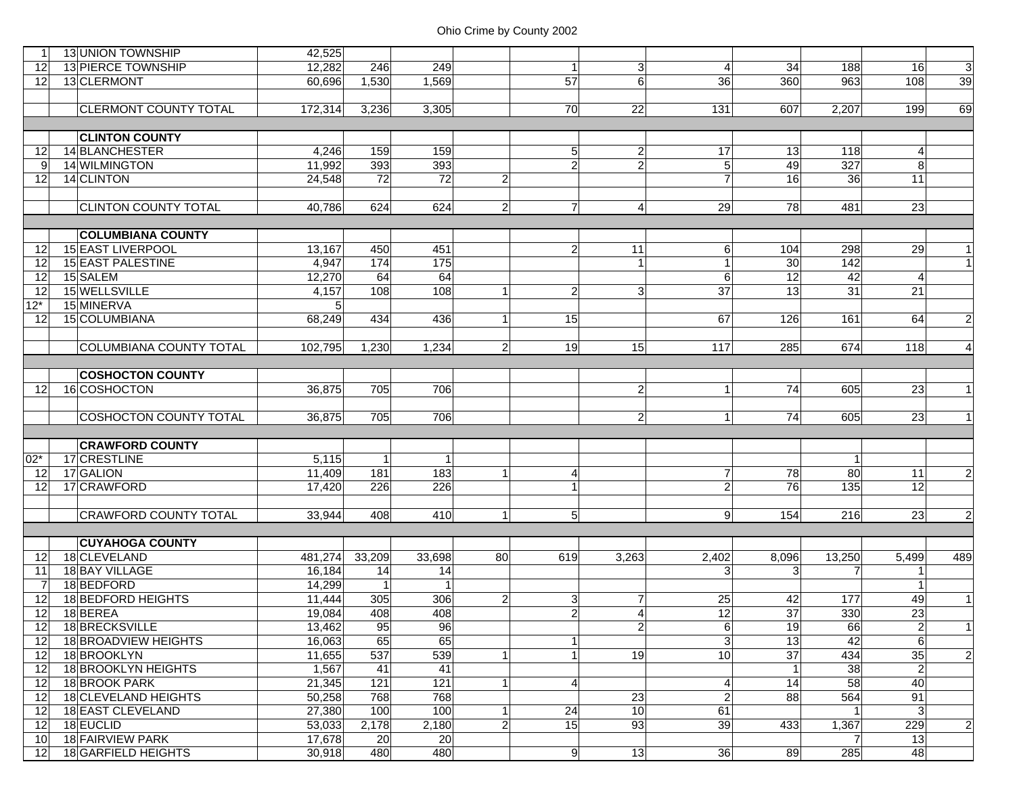|                       | 13 UNION TOWNSHIP                              | 42,525           |                 |              |                |                |                |                  |                 |        |                 |                             |
|-----------------------|------------------------------------------------|------------------|-----------------|--------------|----------------|----------------|----------------|------------------|-----------------|--------|-----------------|-----------------------------|
| 12                    | 13 PIERCE TOWNSHIP                             | 12,282           | 246             | 249          |                | 1 <sup>1</sup> | 3              | $\left 4\right $ | $\overline{34}$ | 188    | 16              | دى                          |
| 12                    | 13 CLERMONT                                    | 60.696           | 1,530           | 1,569        |                | 57             | 6              | 36               | 360             | 963    | 108             | 39                          |
|                       |                                                |                  |                 |              |                |                |                |                  |                 |        |                 |                             |
|                       | <b>CLERMONT COUNTY TOTAL</b>                   | 172,314          | 3,236           | 3,305        |                | 70             | 22             | 131              | 607             | 2,207  | 199             | 69                          |
|                       |                                                |                  |                 |              |                |                |                |                  |                 |        |                 |                             |
|                       | <b>CLINTON COUNTY</b>                          |                  |                 |              |                |                |                |                  |                 |        |                 |                             |
| 12                    | 14 BLANCHESTER                                 | 4,246            | 159             | 159          |                | 5 <sup>1</sup> | $\overline{c}$ | 17               | 13              | 118    | $\overline{4}$  |                             |
| 9                     | 14 WILMINGTON                                  | 11,992           | 393             | 393          |                | $\overline{2}$ | $\overline{2}$ | 5 <sub>l</sub>   | 49              | 327    | 8 <sup>1</sup>  |                             |
| 12                    | 14 CLINTON                                     | 24,548           | $\overline{72}$ | 72           | $\overline{2}$ |                |                | $\overline{7}$   | 16              | 36     | 11              |                             |
|                       |                                                |                  |                 |              |                |                |                |                  |                 |        |                 |                             |
|                       | <b>CLINTON COUNTY TOTAL</b>                    | 40,786           | 624             | 624          | $\mathbf{z}$   | $\mathbf{z}$   | $\overline{4}$ | 29               | 78              | 481    | 23              |                             |
|                       |                                                |                  |                 |              |                |                |                |                  |                 |        |                 |                             |
|                       | <b>COLUMBIANA COUNTY</b>                       |                  |                 |              |                |                |                |                  |                 |        |                 |                             |
| 12                    | 15 EAST LIVERPOOL                              | 13,167           | 450             | 451          |                | $\mathbf{2}$   | 11             | 6 <sup>1</sup>   | 104             | 298    | 29              | 1                           |
| 12                    | 15 EAST PALESTINE                              | 4,947            | 174             | 175          |                |                | $\mathbf{1}$   |                  | 30              | 142    |                 | 1                           |
| 12                    | 15 SALEM                                       | 12,270           | 64              | 64           |                |                |                | $6 \mid$         | 12              | 42     | 4               |                             |
| $\overline{12}$       | 15 WELLSVILLE                                  | 4,157            | 108             | 108          |                | $\overline{2}$ | ω              | 37               | 13              | 31     | 21              |                             |
| $12*$                 | 15 MINERVA                                     |                  |                 |              |                |                |                |                  |                 |        |                 |                             |
| 12                    | 15 COLUMBIANA                                  | 68,249           | 434             | 436          |                | 15             |                | 67               | 126             | 161    | 64              | $\mathbf{2}$                |
|                       |                                                |                  |                 |              |                |                |                |                  |                 |        |                 |                             |
|                       | <b>COLUMBIANA COUNTY TOTAL</b>                 | 102,795          | 1,230           | 1,234        | $\mathbf{2}$   | 19             | 15             | 117              | 285             | 674    | 118             | $\vert$                     |
|                       |                                                |                  |                 |              |                |                |                |                  |                 |        |                 |                             |
|                       | <b>COSHOCTON COUNTY</b>                        |                  |                 |              |                |                |                |                  |                 |        |                 |                             |
| 12                    | 16 COSHOCTON                                   | 36,875           | 705             | 706          |                |                | $\overline{2}$ | $\vert$          | 74              | 605    | 23              | 1                           |
|                       |                                                |                  |                 |              |                |                |                |                  |                 |        |                 |                             |
|                       | <b>COSHOCTON COUNTY TOTAL</b>                  | 36,875           | 705             | 706          |                |                | $\overline{2}$ | 11               | 74              | 605    | 23              | 1                           |
|                       |                                                |                  |                 |              |                |                |                |                  |                 |        |                 |                             |
|                       | <b>CRAWFORD COUNTY</b>                         |                  |                 |              |                |                |                |                  |                 |        |                 |                             |
| $02*$                 | 17 CRESTLINE                                   | 5,115            | $\mathbf{1}$    | $\mathbf{1}$ |                |                |                |                  |                 | -1     |                 |                             |
| 12                    | 17 GALION                                      | 11,409           | 181             | 183          |                | $\vert$        |                | $\overline{7}$   | 78              | 80     | 11              | $\overline{a}$              |
| 12                    | 17 CRAWFORD                                    | 17,420           | 226             | 226          |                |                |                | $\overline{2}$   | 76              | 135    | 12              |                             |
|                       |                                                |                  |                 |              |                |                |                |                  |                 |        |                 |                             |
|                       | <b>CRAWFORD COUNTY TOTAL</b>                   | 33,944           | 408             | 410          |                | 5 <sup>1</sup> |                | 9 <sup>1</sup>   | 154             | 216    | 23              | $\overline{2}$              |
|                       |                                                |                  |                 |              |                |                |                |                  |                 |        |                 |                             |
|                       | <b>CUYAHOGA COUNTY</b>                         |                  |                 |              |                |                |                |                  |                 |        |                 |                             |
| 12                    | 18 CLEVELAND                                   | 481,274          | 33,209          | 33,698       | 80             | 619            | 3,263          | 2,402            | 8,096           | 13,250 | 5,499           | 489                         |
| 11                    | 18 BAY VILLAGE                                 | 16,184           | 14              | 14           |                |                |                | 3 <sup>1</sup>   | 3               | 7      | 1               |                             |
| -7                    | 18BEDFORD                                      | 14,299           |                 |              |                |                |                |                  |                 |        | $\mathbf{1}$    |                             |
| 12                    | 18 BEDFORD HEIGHTS                             | 11,444           | 305             | 306          | $\mathbf{2}$   | 3              | $\overline{7}$ | 25               | 42              | 177    | 49              | 1                           |
| 12                    |                                                |                  |                 |              |                |                |                |                  |                 |        |                 |                             |
| 12                    | 18 BEREA                                       | 19,084           | 408             | 408          |                | $\overline{2}$ | 4              | 12               | $\overline{37}$ | 330    | $\overline{23}$ |                             |
|                       | 18 BRECKSVILLE                                 | 13,462           | 95              | 96           |                |                | $\overline{2}$ | $6 \mid$         | 19              | 66     | $\mathbf{2}$    |                             |
| 12                    | 18 BROADVIEW HEIGHTS                           | 16,063           | 65              | 65           |                | $\mathbf{1}$   |                | $\overline{3}$   | 13              | 42     | $6 \mid$        |                             |
| 12                    | 18 BROOKLYN                                    | 11,655           | 537             | 539          |                | 1 <sup>1</sup> | 19             | 10               | 37              | 434    | 35              |                             |
| 12                    | 18 BROOKLYN HEIGHTS                            | 1,567            | 41              | 41           |                |                |                |                  | $\overline{1}$  | 38     | $\overline{2}$  |                             |
| 12                    | 18 BROOK PARK                                  | 21,345           | 121             | 121          |                |                |                | 4                | 14              | 58     | 40              |                             |
| 12                    | 18 CLEVELAND HEIGHTS                           | 50,258           | 768             | 768          |                |                | 23             | $\overline{2}$   | 88              | 564    | 91              |                             |
| 12                    | 18 EAST CLEVELAND                              | 27,380           | 100             | 100          |                | 24             | 10             | 61               |                 |        | 3               | $\vert$ 1<br>$\overline{a}$ |
| 12                    | 18 EUCLID                                      | 53,033           | 2,178           | 2,180        | $\mathbf{2}$   | 15             | 93             | 39               | 433             | 1,367  | 229             | $\overline{2}$              |
| 10<br>12 <sup>1</sup> | <b>18 FAIRVIEW PARK</b><br>18 GARFIELD HEIGHTS | 17,678<br>30,918 | 20<br>480       | 20<br>480    |                | 9 <sup>1</sup> | 13             | 36               | 89              | 285    | 13<br>48        |                             |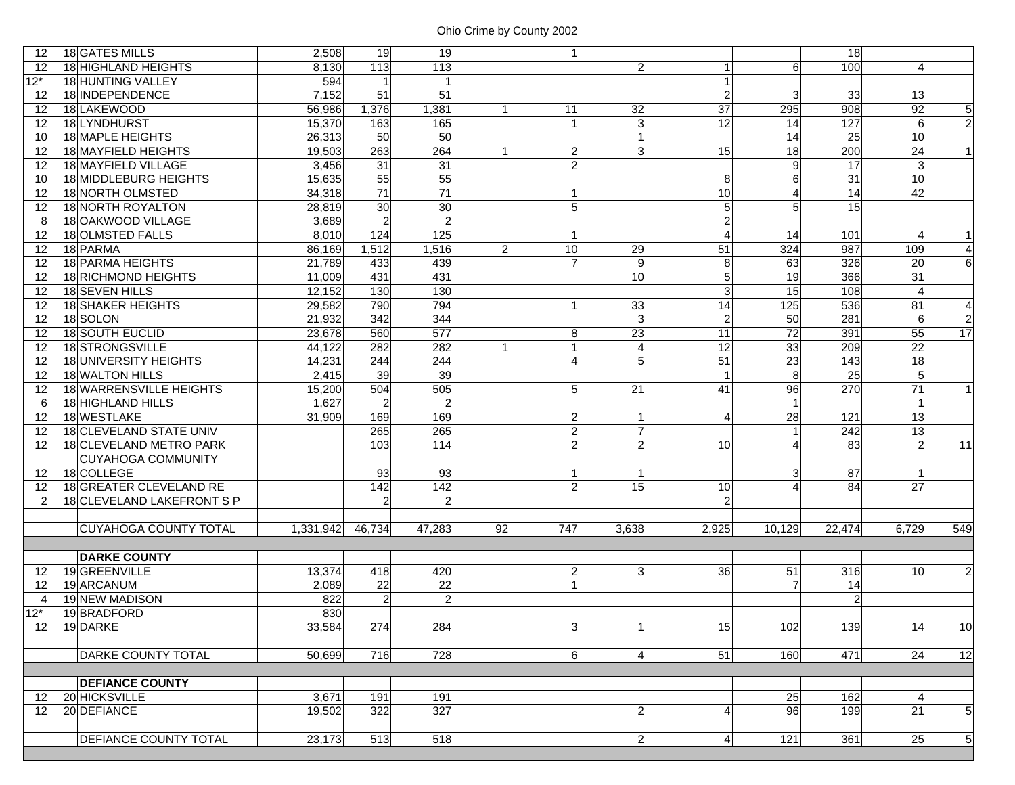| 12              | 18 GATES MILLS               | 2,508     | 19             | 19              |                | $\mathbf{1}$   |                         |                 |                        | $\overline{18}$ |                 |                 |
|-----------------|------------------------------|-----------|----------------|-----------------|----------------|----------------|-------------------------|-----------------|------------------------|-----------------|-----------------|-----------------|
| 12              | 18 HIGHLAND HEIGHTS          | 8,130     | 113            | 113             |                |                | $\overline{c}$          | $\vert$         | 6                      | 100             | 4               |                 |
| $12*$           | 18 HUNTING VALLEY            | 594       | $\mathbf{1}$   | 1               |                |                |                         | $\mathbf{1}$    |                        |                 |                 |                 |
| 12              | 18 INDEPENDENCE              | 7,152     | 51             | $\overline{51}$ |                |                |                         | $\overline{2}$  | 3                      | 33              | 13              |                 |
| 12              | 18 LAKEWOOD                  | 56,986    | 1,376          | 1,381           |                | 11             | 32                      | 37              | 295                    | 908             | 92              | $5\overline{)}$ |
| 12              | 18 LYNDHURST                 | 15,370    | 163            | 165             |                | $\mathbf{1}$   | $\overline{3}$          | $\overline{12}$ | 14                     | 127             | $6\overline{6}$ | $\overline{2}$  |
| 10              | 18 MAPLE HEIGHTS             | 26,313    | 50             | 50              |                |                | $\mathbf{1}$            |                 | 14                     | 25              | 10              |                 |
| 12              | 18 MAYFIELD HEIGHTS          | 19,503    | 263            | 264             |                | $\overline{2}$ | 3 <sup>l</sup>          | 15              | 18                     | 200             | 24              | 1I              |
| 12              | 18 MAYFIELD VILLAGE          | 3,456     | 31             | 31              |                | $\overline{2}$ |                         |                 | 9                      | 17              | 3               |                 |
| 10              | 18 MIDDLEBURG HEIGHTS        | 15,635    | 55             | 55              |                |                |                         | 8               | 6                      | 31              | 10              |                 |
| 12              | 18 NORTH OLMSTED             | 34,318    | 71             | 71              |                | $\mathbf{1}$   |                         | 10              | $\overline{4}$         | $\overline{14}$ | 42              |                 |
| 12              | 18 NORTH ROYALTON            | 28,819    | 30             | 30              |                | 5 <sup>5</sup> |                         | $\overline{5}$  | 5                      | 15              |                 |                 |
| 8               | 18 OAKWOOD VILLAGE           | 3,689     | $\overline{a}$ | $\overline{2}$  |                |                |                         | $\overline{2}$  |                        |                 |                 |                 |
| 12              | 18 OLMSTED FALLS             | 8,010     | 124            | 125             |                | $\mathbf{1}$   |                         | $\overline{A}$  | 14                     | 101             | 4               | $\mathbf{1}$    |
| 12              | 18 PARMA                     | 86,169    | 1,512          | 1,516           | $\overline{2}$ | 10             | 29                      | 51              | 324                    | 987             | 109             | $\overline{4}$  |
| 12              | 18 PARMA HEIGHTS             | 21,789    | 433            | 439             |                | $\overline{7}$ | 9                       | 8               | 63                     | 326             | 20              | $6\phantom{1}$  |
| 12              | 18 RICHMOND HEIGHTS          | 11,009    | 431            | 431             |                |                | 10                      | 5 <sub>5</sub>  | $\overline{19}$        | 366             | 31              |                 |
| 12              | 18 SEVEN HILLS               | 12,152    | 130            | 130             |                |                |                         | $\overline{3}$  | 15                     | 108             | $\overline{4}$  |                 |
| 12              | 18 SHAKER HEIGHTS            | 29,582    | 790            | 794             |                | $\mathbf{1}$   | 33                      | $\overline{14}$ | 125                    | 536             | $\overline{81}$ | $\overline{4}$  |
| 12              | 18 SOLON                     | 21,932    | 342            | 344             |                |                | 3                       | $\overline{2}$  | 50                     | 281             | 6               | $\overline{2}$  |
| 12              | 18 SOUTH EUCLID              | 23,678    | 560            | 577             |                | 8              | 23                      | 11              | $\overline{72}$        | 391             | 55              | 17              |
| 12              | 18 STRONGSVILLE              | 44,122    | 282            | 282             |                | $\mathbf{1}$   | $\overline{\mathbf{4}}$ | 12              | 33                     | 209             | 22              |                 |
| 12              | 18 UNIVERSITY HEIGHTS        | 14,231    | 244            | 244             |                | Δ              | 5                       | 51              | 23                     | 143             | 18              |                 |
| 12              | 18 WALTON HILLS              | 2,415     | 39             | 39              |                |                |                         | $\mathbf{1}$    | 8                      | 25              | $5\overline{)}$ |                 |
| 12              | 18 WARRENSVILLE HEIGHTS      | 15,200    | 504            | 505             |                | 5              | 21                      | 41              | 96                     | 270             | 71              | $\mathbf{1}$    |
| 6               | 18 HIGHLAND HILLS            | 1,627     | $\overline{a}$ | $\overline{2}$  |                |                |                         |                 | $\mathbf{1}$           |                 | $\mathbf{1}$    |                 |
| 12              | 18 WESTLAKE                  | 31,909    | 169            | 169             |                | $\overline{2}$ | $\mathbf{1}$            | $\overline{4}$  | $\overline{28}$        | 121             | 13              |                 |
| 12              | 18 CLEVELAND STATE UNIV      |           | 265            | 265             |                | $\overline{2}$ | $\overline{7}$          |                 | $\mathbf 1$            | 242             | 13              |                 |
| 12              | 18 CLEVELAND METRO PARK      |           | 103            | 114             |                | $\overline{a}$ | $\overline{c}$          | 10 <sup>1</sup> | $\overline{4}$         | 83              | $\overline{2}$  | 11              |
|                 | <b>CUYAHOGA COMMUNITY</b>    |           |                |                 |                |                |                         |                 |                        |                 |                 |                 |
| 12              | 18 COLLEGE                   |           | 93             | 93              |                |                | 1                       |                 | 3                      | 87              |                 |                 |
| 12              | 18 GREATER CLEVELAND RE      |           | 142            | 142             |                | $\overline{a}$ | 15                      | 10              | $\boldsymbol{\Lambda}$ | 84              | 27              |                 |
| $\overline{2}$  | 18 CLEVELAND LAKEFRONT S P   |           | $\overline{2}$ | $\overline{2}$  |                |                |                         | $\overline{2}$  |                        |                 |                 |                 |
|                 |                              |           |                |                 |                |                |                         |                 |                        |                 |                 |                 |
|                 | <b>CUYAHOGA COUNTY TOTAL</b> | 1,331,942 | 46,734         | 47,283          | 92             | 747            | 3,638                   | 2,925           | 10,129                 | 22,474          | 6,729           | 549             |
|                 |                              |           |                |                 |                |                |                         |                 |                        |                 |                 |                 |
|                 | <b>DARKE COUNTY</b>          |           |                |                 |                |                |                         |                 |                        |                 |                 |                 |
| 12              | 19 GREENVILLE                | 13,374    | 418            | 420             |                | $\overline{2}$ | 3                       | 36              | 51                     | 316             | 10 <sup>1</sup> | $\overline{2}$  |
| 12              | 19 ARCANUM                   | 2,089     | 22             | $\overline{22}$ |                | $\overline{1}$ |                         |                 | 7                      | 14              |                 |                 |
| 4               | 19 NEW MADISON               | 822       | $\overline{2}$ | $\overline{c}$  |                |                |                         |                 |                        | $\overline{2}$  |                 |                 |
| $12*$           | 19 BRADFORD                  | 830       |                |                 |                |                |                         |                 |                        |                 |                 |                 |
| 12 <sub>1</sub> | 19 DARKE                     | 33,584    | 274            | 284             |                | 3 <sup>1</sup> | $1\vert$                | 15 <sup>1</sup> | 102                    | 139             | 14              | 10 <sup>1</sup> |
|                 |                              |           |                |                 |                |                |                         |                 |                        |                 |                 |                 |
|                 | <b>DARKE COUNTY TOTAL</b>    | 50,699    | 716            | 728             |                | 6              | $\vert 4 \vert$         | 51              | 160                    | 471             | 24              | 12              |
|                 |                              |           |                |                 |                |                |                         |                 |                        |                 |                 |                 |
|                 | <b>DEFIANCE COUNTY</b>       |           |                |                 |                |                |                         |                 |                        |                 |                 |                 |
| 12              | 20 HICKSVILLE                | 3,671     | 191            | 191             |                |                |                         |                 | 25                     | 162             | $\overline{4}$  |                 |
| 12              | 20 DEFIANCE                  | 19,502    | 322            | 327             |                |                | $\overline{c}$          | $\vert$         | 96                     | 199             | 21              | 5 <sub>5</sub>  |
|                 |                              |           |                |                 |                |                |                         |                 |                        |                 |                 |                 |
|                 | <b>DEFIANCE COUNTY TOTAL</b> | 23,173    | 513            | 518             |                |                | $\overline{c}$          | 4               | 121                    | 361             | 25              | $5\overline{)}$ |
|                 |                              |           |                |                 |                |                |                         |                 |                        |                 |                 |                 |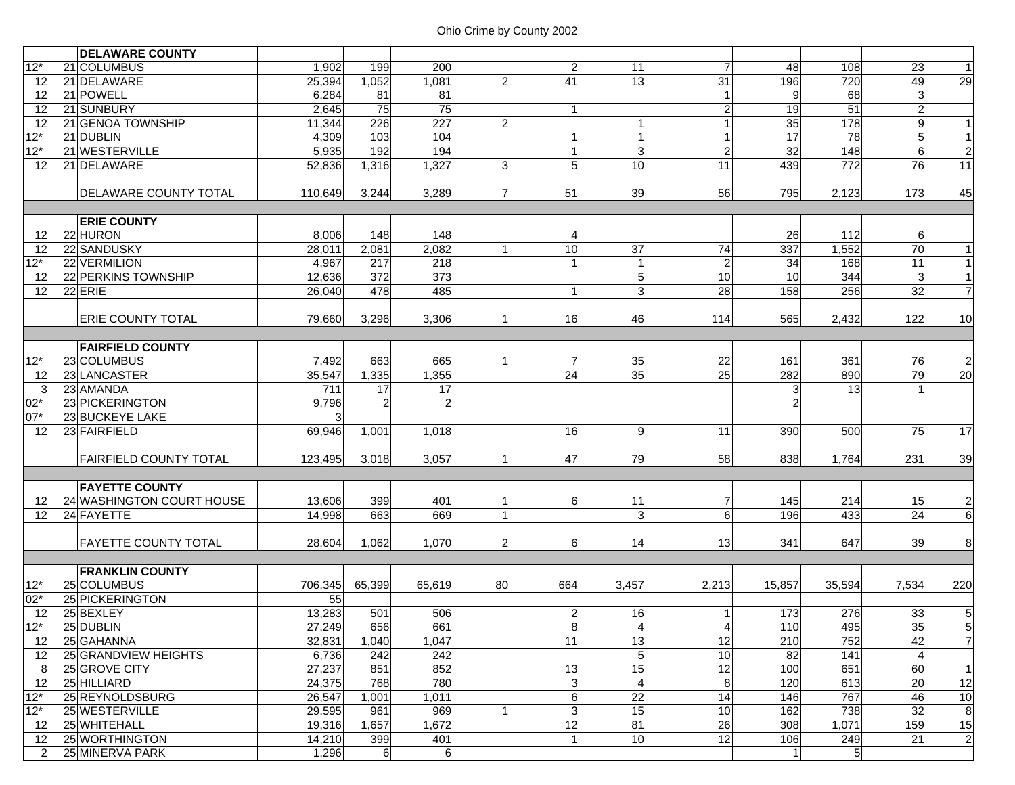|                | <b>DELAWARE COUNTY</b>        |         |                |                |                |                  |                 |                 |                 |                  |                 |                  |
|----------------|-------------------------------|---------|----------------|----------------|----------------|------------------|-----------------|-----------------|-----------------|------------------|-----------------|------------------|
| $12*$          | 21 COLUMBUS                   | 1,902   | 199            | 200            |                | $\overline{2}$   | 11              | $\overline{7}$  | 48              | 108              | 23              | $\mathbf{1}$     |
| 12             | 21 DELAWARE                   | 25,394  | 1,052          | 1,081          | $\overline{2}$ | 41               | 13              | $\overline{31}$ | 196             | 720              | 49              | 29               |
| 12             | 21 POWELL                     | 6,284   | 81             | 81             |                |                  |                 |                 | 9               | 68               | $\mathbf{3}$    |                  |
| 12             | 21 SUNBURY                    | 2,645   | 75             | 75             |                | $\mathbf{1}$     |                 | $\overline{2}$  | 19              | 51               | $\overline{2}$  |                  |
| 12             | 21 GENOA TOWNSHIP             | 11,344  | 226            | 227            | $\overline{2}$ |                  | $\mathbf{1}$    |                 | 35              | 178              | $\overline{9}$  | $\mathbf{1}$     |
| $12*$          | 21 DUBLIN                     | 4,309   | 103            | 104            |                | 1                | $\overline{1}$  |                 | $\overline{17}$ | $\overline{78}$  | $5\overline{)}$ | 1                |
| $12*$          | 21 WESTERVILLE                | 5,935   | 192            | 194            |                | $\mathbf{1}$     | $\mathbf{3}$    | $\overline{a}$  | $\overline{32}$ | $\overline{148}$ | $6 \overline{}$ | $\overline{2}$   |
| 12             | 21 DELAWARE                   | 52,836  | 1,316          | 1,327          | 3 <sup>1</sup> | 5 <sup>1</sup>   | 10              | 11              | 439             | 772              | 76              | 11               |
|                |                               |         |                |                |                |                  |                 |                 |                 |                  |                 |                  |
|                | <b>DELAWARE COUNTY TOTAL</b>  | 110,649 | 3,244          | 3,289          | $\overline{7}$ | 51               | 39              | 56              | 795             | 2,123            | 173             | 45               |
|                |                               |         |                |                |                |                  |                 |                 |                 |                  |                 |                  |
|                | <b>ERIE COUNTY</b>            |         |                |                |                |                  |                 |                 |                 |                  |                 |                  |
| 12             | 22 HURON                      | 8,006   | 148            | 148            |                | 4                |                 |                 | 26              | 112              | 6               |                  |
| 12             | 22 SANDUSKY                   | 28,011  | 2,081          | 2,082          |                | 10               | 37              | 74              | 337             | 1,552            | 70              | $\mathbf{1}$     |
| $12*$          | 22 VERMILION                  | 4,967   | 217            | 218            |                |                  | $\overline{1}$  | $\overline{2}$  | 34              | 168              | 11              | $\mathbf{1}$     |
| 12             | 22 PERKINS TOWNSHIP           | 12,636  | 372            | 373            |                |                  | $\overline{5}$  | 10              | 10              | 344              | 3               | 1                |
| 12             | $22$ ERIE                     | 26,040  | 478            | 485            |                | 1                | 3               | 28              | 158             | 256              | 32              | $\overline{7}$   |
|                |                               |         |                |                |                |                  |                 |                 |                 |                  |                 |                  |
|                | <b>ERIE COUNTY TOTAL</b>      | 79,660  | 3,296          | 3,306          | 1 <sup>1</sup> | 16               | 46              | 114             | 565             | 2,432            | 122             | 10               |
|                |                               |         |                |                |                |                  |                 |                 |                 |                  |                 |                  |
|                | <b>FAIRFIELD COUNTY</b>       |         |                |                |                |                  |                 |                 |                 |                  |                 |                  |
| $12*$          | 23 COLUMBUS                   | 7,492   | 663            | 665            |                | $\overline{7}$   | 35              | 22              | 161             | 361              | 76              | $\overline{2}$   |
| 12             | 23 LANCASTER                  | 35,547  | 1,335          | 1,355          |                | 24               | 35              | 25              | 282             | 890              | 79              | 20               |
| 3              | 23 AMANDA                     | 711     | 17             | 17             |                |                  |                 |                 | 3               | 13               |                 |                  |
| $02*$          | 23 PICKERINGTON               | 9,796   | $\overline{2}$ | $\overline{2}$ |                |                  |                 |                 | $\overline{2}$  |                  |                 |                  |
| $07*$          | <b>23 BUCKEYE LAKE</b>        | 3       |                |                |                |                  |                 |                 |                 |                  |                 |                  |
| 12             | 23 FAIRFIELD                  | 69,946  | 1,001          | 1,018          |                | 16               | 9               | 11              | 390             | 500              | 75              | 17               |
|                |                               |         |                |                |                |                  |                 |                 |                 |                  |                 |                  |
|                | <b>FAIRFIELD COUNTY TOTAL</b> | 123,495 | 3,018          | 3,057          | 1              | 47               | 79              | 58              | 838             | 1,764            | 231             | 39               |
|                |                               |         |                |                |                |                  |                 |                 |                 |                  |                 |                  |
|                | <b>FAYETTE COUNTY</b>         |         |                |                |                |                  |                 |                 |                 |                  |                 |                  |
| 12             | 24 WASHINGTON COURT HOUSE     | 13,606  | 399            | 401            |                | 6                | 11              | $\overline{7}$  | 145             | 214              | 15              | $\overline{2}$   |
| 12             | 24 FAYETTE                    | 14,998  | 663            | 669            |                |                  | 3               | 6               | 196             | 433              | 24              | $6\overline{6}$  |
|                |                               |         |                |                |                |                  |                 |                 |                 |                  |                 |                  |
|                | <b>FAYETTE COUNTY TOTAL</b>   | 28,604  | 1,062          | 1,070          | $\overline{2}$ | $6 \overline{6}$ | 14              | 13              | 341             | 647              | 39              | 8                |
|                |                               |         |                |                |                |                  |                 |                 |                 |                  |                 |                  |
|                | <b>FRANKLIN COUNTY</b>        |         |                |                |                |                  |                 |                 |                 |                  |                 |                  |
| $12*$          | 25 COLUMBUS                   | 706,345 | 65,399         | 65,619         | 80l            | 664              | 3,457           | 2,213           | 15,857          | 35,594           | 7,534           | 220              |
| $02*$          | 25 PICKERINGTON               | 55      |                |                |                |                  |                 |                 |                 |                  |                 |                  |
| 12             | 25 BEXLEY                     | 13,283  | 501            | 506            |                | 2 <sub>l</sub>   | 16              | 1               | 173             | 276              | 33              | $5\overline{)}$  |
| $12*$          | 25 DUBLIN                     | 27,249  | 656            | 661            |                | 8 <sup>1</sup>   | $\vert 4 \vert$ | 4 <sub>l</sub>  | 110             | 495              | 35              | $5 \mid$         |
| 12             | 25 GAHANNA                    | 32,831  | 1,040          | 1,047          |                | 11               | 13              | 12              | 210             | 752              | 42              | $\overline{7}$   |
| 12             | 25 GRANDVIEW HEIGHTS          | 6,736   | 242            | 242            |                |                  | $\overline{5}$  | 10              | $\overline{82}$ | 141              | 4               |                  |
| 8              | 25 GROVE CITY                 | 27,237  | 851            | 852            |                | 13               | 15              | $\overline{12}$ | 100             | 651              | 60              | 1                |
| 12             | 25 HILLIARD                   | 24,375  | 768            | 780            |                | $\mathbf{3}$     | $\overline{4}$  | 8               | 120             | 613              | 20              | 12               |
| $12*$          | 25 REYNOLDSBURG               | 26,547  | 1,001          | 1,011          |                | 6                | 22              | 14              | 146             | 767              | 46              | 10               |
| $12*$          | 25 WESTERVILLE                | 29,595  | 961            | 969            |                | 3                | 15              | 10              | 162             | 738              | 32              | $\boldsymbol{8}$ |
| 12             | 25 WHITEHALL                  | 19,316  | 1,657          | 1,672          |                | 12               | 81              | 26              | 308             | 1,071            | 159             | 15               |
| 12             | 25 WORTHINGTON                | 14,210  | 399            | 401            |                |                  | 10              | 12              | 106             | 249              | $\overline{21}$ | $\overline{2}$   |
| $\overline{2}$ | 25 MINERVA PARK               | 1,296   | $6 \mid$       | 6              |                |                  |                 |                 | $\vert$         | $5\overline{)}$  |                 |                  |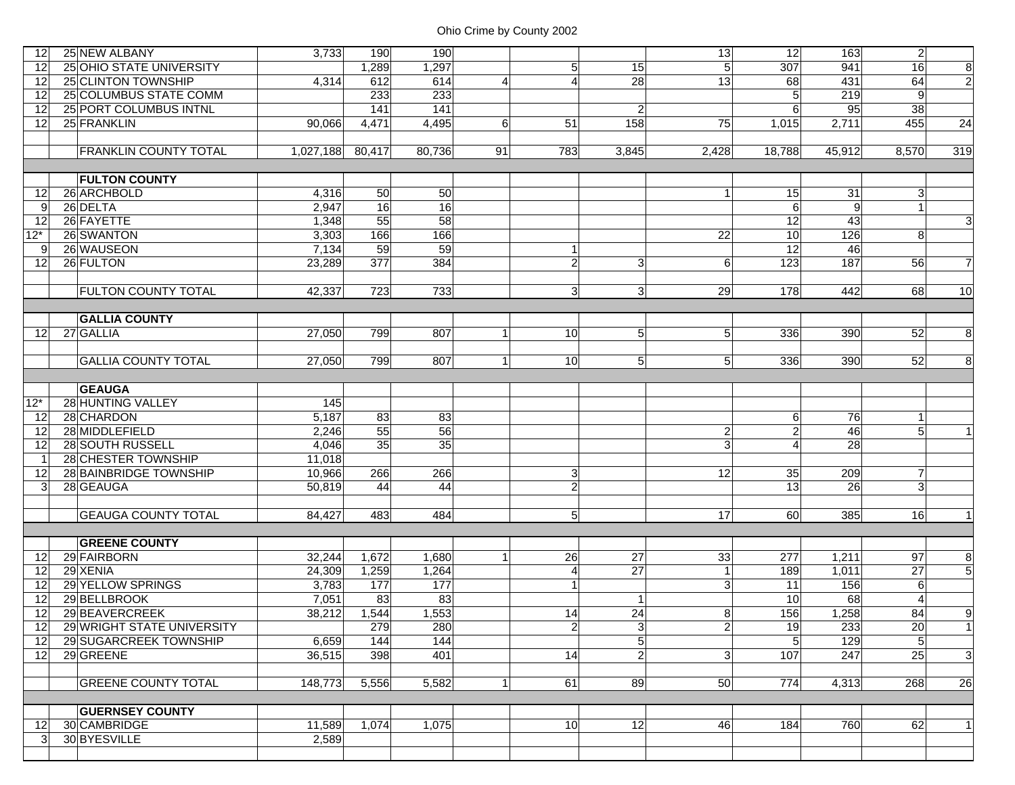| 12           | 25 NEW ALBANY                | 3,733     | 190    | 190    |                |                |                | 13              | 12              | 163             | $\overline{2}$ |                |
|--------------|------------------------------|-----------|--------|--------|----------------|----------------|----------------|-----------------|-----------------|-----------------|----------------|----------------|
| 12           | 25 OHIO STATE UNIVERSITY     |           | 1,289  | 1,297  |                | $\overline{5}$ | 15             | $\overline{5}$  | 307             | 941             | 16             | $\overline{8}$ |
| 12           | 25 CLINTON TOWNSHIP          | 4.314     | 612    | 614    | $\overline{4}$ | $\overline{4}$ | 28             | 13              | 68              | 431             | 64             | $\overline{2}$ |
| 12           | 25 COLUMBUS STATE COMM       |           | 233    | 233    |                |                |                |                 | 5               | 219             | 9              |                |
| 12           | 25 PORT COLUMBUS INTNL       |           | 141    | 141    |                |                | $\overline{2}$ |                 | 6               | 95              | 38             |                |
| 12           | 25 FRANKLIN                  | 90,066    | 4,471  | 4,495  | 6              | 51             | 158            | 75              | 1,015           | 2,711           | 455            | 24             |
|              |                              |           |        |        |                |                |                |                 |                 |                 |                |                |
|              | <b>FRANKLIN COUNTY TOTAL</b> | 1,027,188 | 80,417 | 80,736 | 91             | 783            | 3,845          | 2,428           | 18,788          | 45,912          | 8,570          | 319            |
|              |                              |           |        |        |                |                |                |                 |                 |                 |                |                |
|              | <b>FULTON COUNTY</b>         |           |        |        |                |                |                |                 |                 |                 |                |                |
| 12           | 26 ARCHBOLD                  | 4,316     | 50     | 50     |                |                |                | $\mathbf{1}$    | 15              | 31              | 3 <sup>1</sup> |                |
| 9            | 26 DELTA                     | 2,947     | 16     | 16     |                |                |                |                 | $6\phantom{1}6$ | 9               | $\mathbf{1}$   |                |
| 12           | 26 FAYETTE                   | 1,348     | 55     | 58     |                |                |                |                 | 12              | 43              |                | $\overline{3}$ |
| $12*$        | 26 SWANTON                   | 3,303     | 166    | 166    |                |                |                | $\overline{22}$ | 10              | 126             | 8              |                |
| 9            | 26 WAUSEON                   | 7,134     | 59     | 59     |                | 1              |                |                 | 12              | 46              |                |                |
| 12           | 26 FULTON                    | 23,289    | 377    | 384    |                | $\mathbf{2}$   | $\overline{3}$ | 6               | 123             | 187             | 56             | $\overline{7}$ |
|              |                              |           |        |        |                |                |                |                 |                 |                 |                |                |
|              | <b>FULTON COUNTY TOTAL</b>   | 42,337    | 723    | 733    |                | $\mathbf{3}$   | 3 <sup>1</sup> | 29              | 178             | 442             | 68             | 10             |
|              |                              |           |        |        |                |                |                |                 |                 |                 |                |                |
|              | <b>GALLIA COUNTY</b>         |           |        |        |                |                |                |                 |                 |                 |                |                |
| 12           | 27 GALLIA                    | 27,050    | 799    | 807    | 1              | 10             | $\overline{5}$ | 5 <sup>1</sup>  | 336             | 390             | 52             | 8              |
|              |                              |           |        |        |                |                |                |                 |                 |                 |                |                |
|              | <b>GALLIA COUNTY TOTAL</b>   | 27,050    | 799    | 807    | $\mathbf{1}$   | 10             | 5 <sub>l</sub> | 5               | 336             | 390             | 52             | 8              |
|              | <b>GEAUGA</b>                |           |        |        |                |                |                |                 |                 |                 |                |                |
| $12*$        | 28 HUNTING VALLEY            | 145       |        |        |                |                |                |                 |                 |                 |                |                |
| 12           | 28 CHARDON                   | 5,187     | 83     | 83     |                |                |                |                 | 6               | 76              | 1              |                |
| 12           | 28 MIDDLEFIELD               | 2,246     | 55     | 56     |                |                |                | $\overline{2}$  | $\overline{2}$  | $\overline{46}$ | 5 <sub>1</sub> |                |
| 12           | 28 SOUTH RUSSELL             | 4,046     | 35     | 35     |                |                |                | 3               | $\overline{4}$  | $\overline{28}$ |                |                |
| $\mathbf{1}$ | 28 CHESTER TOWNSHIP          | 11,018    |        |        |                |                |                |                 |                 |                 |                |                |
| 12           | 28 BAINBRIDGE TOWNSHIP       | 10,966    | 266    | 266    |                | 3 <sup>1</sup> |                | 12              | 35              | 209             | $\overline{7}$ |                |
| 3            | 28 GEAUGA                    | 50.819    | 44     | 44     |                | $\mathbf{2}$   |                |                 | 13              | 26              | 3 <sup>1</sup> |                |
|              |                              |           |        |        |                |                |                |                 |                 |                 |                |                |
|              | <b>GEAUGA COUNTY TOTAL</b>   | 84,427    | 483    | 484    |                | 5 <sup>1</sup> |                | 17              | 60              | 385             | 16             | $\mathbf{1}$   |
|              |                              |           |        |        |                |                |                |                 |                 |                 |                |                |
|              | <b>GREENE COUNTY</b>         |           |        |        |                |                |                |                 |                 |                 |                |                |
| 12           | 29 FAIRBORN                  | 32,244    | 1,672  | 1,680  |                | 26             | 27             | 33              | 277             | 1,211           | 97             | 8 <sup>1</sup> |
| 12           | 29 XENIA                     | 24,309    | 1,259  | 1,264  |                | $\overline{4}$ | 27             | $\mathbf{1}$    | 189             | 1,011           | 27             | 5              |
| 12           | 29 YELLOW SPRINGS            | 3,783     | 177    | 177    |                |                |                | $\mathbf{3}$    | 11              | 156             | 6              |                |
| 12           | 29 BELLBROOK                 | 7,051     | 83     | 83     |                |                | $\mathbf{1}$   |                 | 10              | 68              | 4              |                |
| 12           | 29 BEAVERCREEK               | 38,212    | 1,544  | 1,553  |                | 14             | 24             | 8               | 156             | 1,258           | 84             | 9              |
| 12           | 29 WRIGHT STATE UNIVERSITY   |           | 279    | 280    |                | $2\vert$       | 3 <sup>1</sup> | 2               | 19              | 233             | 20             | -1 I           |
| 12           | 29 SUGARCREEK TOWNSHIP       | 6,659     | 144    | 144    |                |                | $\overline{5}$ |                 | 5               | 129             | 5 <sub>l</sub> |                |
| 12           | 29 GREENE                    | 36,515    | 398    | 401    |                | 14             | $\overline{2}$ | 3 <sup>1</sup>  | 107             | 247             | 25             | $\overline{3}$ |
|              |                              |           |        |        |                |                |                |                 |                 |                 |                |                |
|              | <b>GREENE COUNTY TOTAL</b>   | 148,773   | 5,556  | 5,582  |                | 61             | 89             | 50              | 774             | 4,313           | 268            | 26             |
|              |                              |           |        |        |                |                |                |                 |                 |                 |                |                |
|              | <b>GUERNSEY COUNTY</b>       |           |        |        |                |                |                |                 |                 |                 |                |                |
| 12           | 30 CAMBRIDGE                 | 11,589    | 1,074  | 1,075  |                | 10             | 12             | 46              | 184             | 760             | 62             | 1              |
| 3            | 30 BYESVILLE                 | 2,589     |        |        |                |                |                |                 |                 |                 |                |                |
|              |                              |           |        |        |                |                |                |                 |                 |                 |                |                |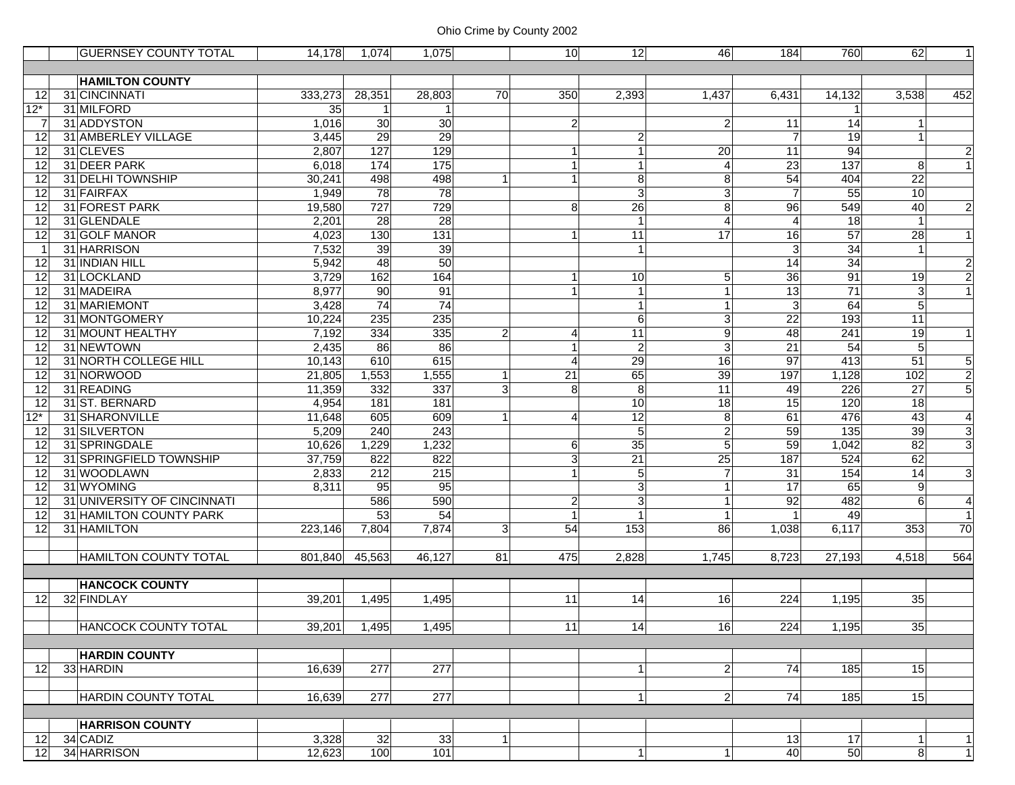|                | <b>GUERNSEY COUNTY TOTAL</b> | 14,178  | 1,074       | 1,075            |                | 10 <sup>1</sup>        | $\overline{12}$ | 46             | 184             | 760              | 62              | 1                       |
|----------------|------------------------------|---------|-------------|------------------|----------------|------------------------|-----------------|----------------|-----------------|------------------|-----------------|-------------------------|
|                |                              |         |             |                  |                |                        |                 |                |                 |                  |                 |                         |
|                | <b>HAMILTON COUNTY</b>       |         |             |                  |                |                        |                 |                |                 |                  |                 |                         |
| 12             | 31 CINCINNATI                | 333,273 | 28,351      | 28,803           | 70             | 350                    | 2,393           | 1,437          | 6,431           | 14,132           | 3,538           | 452                     |
| $12*$          | 31 MILFORD                   | 35      | $\mathbf 1$ |                  |                |                        |                 |                |                 | 1                |                 |                         |
| -7             | 31 ADDYSTON                  | 1,016   | 30          | 30               |                | $\overline{2}$         |                 | $\overline{2}$ | 11              | 14               | 1               |                         |
| 12             | 31 AMBERLEY VILLAGE          | 3,445   | 29          | 29               |                |                        | $\overline{c}$  |                | $\overline{7}$  | 19               |                 |                         |
| 12             | 31 CLEVES                    | 2,807   | 127         | 129              |                |                        |                 | 20             | $\overline{11}$ | 94               |                 | $\overline{a}$          |
| 12             | 31 DEER PARK                 | 6,018   | 174         | 175              |                |                        |                 | $\overline{4}$ | 23              | 137              | 8               | $\mathbf{1}$            |
| 12             | 31 DELHI TOWNSHIP            | 30,241  | 498         | 498              | $\mathbf 1$    |                        | 8               | 8              | 54              | 404              | 22              |                         |
| 12             | 31 FAIRFAX                   | 1,949   | 78          | $\overline{78}$  |                |                        | دى              | $\overline{3}$ | $\overline{7}$  | $\overline{55}$  | 10              |                         |
| 12             | 31 FOREST PARK               | 19,580  | 727         | 729              |                | 8                      | 26              | 8              | 96              | 549              | 40              | $\overline{c}$          |
| 12             | 31 GLENDALE                  | 2,201   | 28          | $\overline{28}$  |                |                        |                 | $\overline{4}$ | $\overline{4}$  | 18               | $\mathbf{1}$    |                         |
| 12             | 31 GOLF MANOR                | 4,023   | 130         | $\overline{131}$ |                |                        | 11              | 17             | $\overline{16}$ | $\overline{57}$  | 28              | $\mathbf{1}$            |
| $\overline{1}$ | 31 HARRISON                  | 7,532   | 39          | 39               |                |                        |                 |                | 3               | $\overline{34}$  |                 |                         |
| 12             | 31 INDIAN HILL               | 5,942   | 48          | 50               |                |                        |                 |                | 14              | $\overline{34}$  |                 | $\overline{\mathbf{c}}$ |
| 12             | 31 LOCKLAND                  | 3,729   | 162         | 164              |                |                        | 10              | 5 <sup>5</sup> | $\overline{36}$ | 91               | 19              | $\overline{2}$          |
| 12             | 31 MADEIRA                   | 8,977   | 90          | 91               |                |                        | $\mathbf{1}$    |                | 13              | 71               | 3               |                         |
| 12             | 31 MARIEMONT                 | 3,428   | 74          | 74               |                |                        | $\mathbf{1}$    |                | 3               | 64               | 5               |                         |
| 12             | 31 MONTGOMERY                | 10,224  | 235         | 235              |                |                        | 6               | $\mathbf{3}$   | $\overline{22}$ | 193              | 11              |                         |
| 12             | 31 MOUNT HEALTHY             | 7,192   | 334         | 335              | $\overline{2}$ | Δ                      | 11              | 9              | 48              | 241              | 19              | $\mathbf{1}$            |
| 12             | 31 NEWTOWN                   | 2,435   | 86          | 86               |                |                        | $\overline{2}$  | $\overline{3}$ | 21              | 54               | 5               |                         |
| 12             | 31 NORTH COLLEGE HILL        | 10,143  | 610         | 615              |                | $\boldsymbol{\Lambda}$ | 29              | 16             | $\overline{97}$ | $\overline{413}$ | 51              | 5                       |
| 12             | 31 NORWOOD                   | 21,805  | 1,553       | 1,555            | $\overline{1}$ | $\overline{21}$        | 65              | 39             | 197             | 1,128            | 102             | $\overline{2}$          |
| 12             | 31 READING                   | 11,359  | 332         | 337              | 3              | 8                      | 8               | 11             | 49              | 226              | $\overline{27}$ | $\overline{5}$          |
| 12             | 31 ST. BERNARD               | 4,954   | 181         | 181              |                |                        | 10              | 18             | $\overline{15}$ | 120              | 18              |                         |
| $12*$          | 31 SHARONVILLE               | 11,648  | 605         | 609              | 1              | $\overline{4}$         | 12              | 8              | 61              | 476              | 43              | $\overline{4}$          |
| 12             | 31 SILVERTON                 | 5,209   | 240         | 243              |                |                        | 5               | $\overline{2}$ | 59              | 135              | 39              | 3                       |
| 12             | 31 SPRINGDALE                | 10,626  | 1,229       | 1,232            |                | 6                      | 35              | $\overline{5}$ | 59              | 1,042            | 82              | $\overline{3}$          |
| 12             | 31 SPRINGFIELD TOWNSHIP      | 37,759  | 822         | 822              |                | 3                      | $\overline{21}$ | 25             | 187             | 524              | 62              |                         |
| 12             | 31 WOODLAWN                  | 2,833   | 212         | $\overline{215}$ |                |                        | 5               | $\overline{7}$ | 31              | 154              | $\overline{14}$ | ω                       |
| 12             | 31 WYOMING                   | 8,311   | 95          | 95               |                |                        | 3               |                | 17              | 65               | 9               |                         |
| 12             | 31 UNIVERSITY OF CINCINNATI  |         | 586         | 590              |                | $\overline{c}$         | $\overline{3}$  |                | 92              | 482              | 6               | 4                       |
| 12             | 31 HAMILTON COUNTY PARK      |         | 53          | 54               |                | 1                      |                 |                |                 | 49               |                 | $\overline{1}$          |
| 12             | 31 HAMILTON                  | 223,146 | 7.804       | 7,874            | 3              | 54                     | 153             | 86             | 1,038           | 6,117            | 353             | 70                      |
|                |                              |         |             |                  |                |                        |                 |                |                 |                  |                 |                         |
|                | <b>HAMILTON COUNTY TOTAL</b> | 801,840 | 45,563      | 46,127           | 81             | 475                    | 2,828           | 1,745          | 8,723           | 27,193           | 4,518           | 564                     |
|                |                              |         |             |                  |                |                        |                 |                |                 |                  |                 |                         |
|                | <b>HANCOCK COUNTY</b>        |         |             |                  |                |                        |                 |                |                 |                  |                 |                         |
| 12             | 32 FINDLAY                   | 39,201  | 1,495       | 1,495            |                | 11                     | 14              | 16             | 224             | 1,195            | 35              |                         |
|                |                              |         |             |                  |                |                        |                 |                |                 |                  |                 |                         |
|                | <b>HANCOCK COUNTY TOTAL</b>  | 39,201  | 1,495       | 1,495            |                | 11                     | 14              | 16             | 224             | 1,195            | 35              |                         |
|                |                              |         |             |                  |                |                        |                 |                |                 |                  |                 |                         |
|                | <b>HARDIN COUNTY</b>         |         |             |                  |                |                        |                 |                |                 |                  |                 |                         |
| 12             | 33 HARDIN                    | 16,639  | 277         | $\overline{277}$ |                |                        | $\overline{1}$  | $\overline{2}$ | 74              | 185              | 15              |                         |
|                |                              |         |             |                  |                |                        |                 |                |                 |                  |                 |                         |
|                | <b>HARDIN COUNTY TOTAL</b>   | 16,639  | 277         | 277              |                |                        | -1              | $\overline{2}$ | 74              | 185              | 15              |                         |
|                |                              |         |             |                  |                |                        |                 |                |                 |                  |                 |                         |
|                | <b>HARRISON COUNTY</b>       |         |             |                  |                |                        |                 |                |                 |                  |                 |                         |
| 12             | 34 CADIZ                     | 3,328   | 32          | 33               | 1              |                        |                 |                | 13              | 17               | 1               | 1                       |
| 12             | 34 HARRISON                  | 12,623  | 100         | 101              |                |                        | $\mathbf{1}$    | $\vert$        | 40              | 50               | $\overline{8}$  | $\overline{1}$          |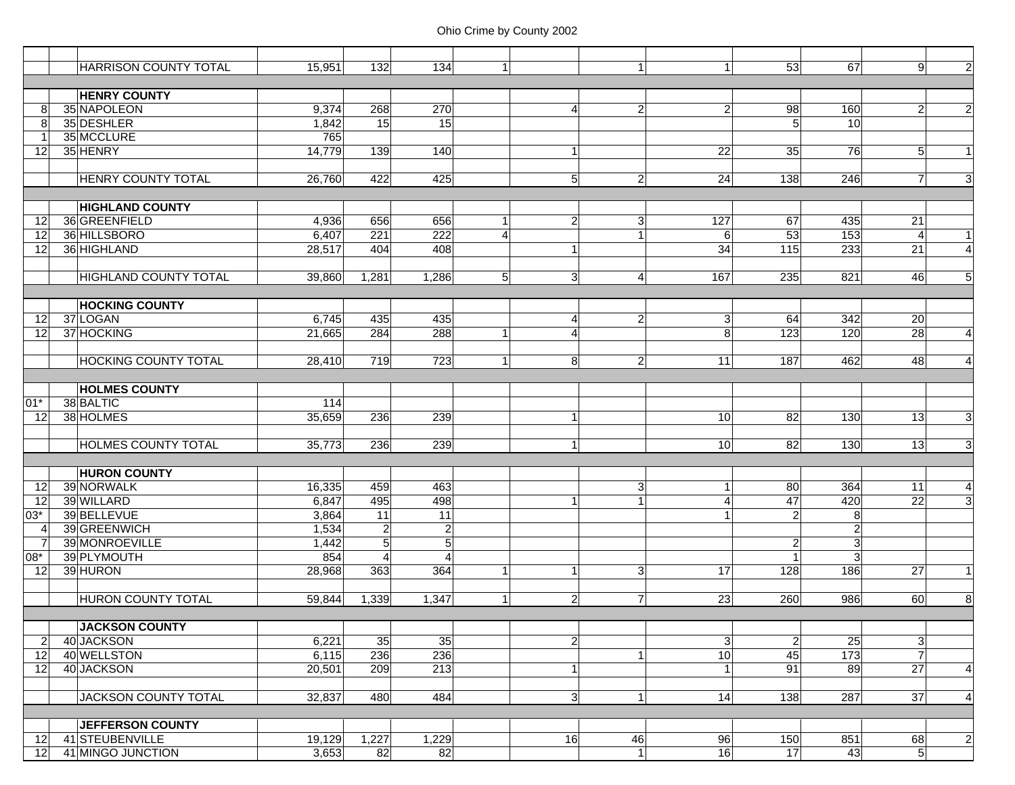|                 | <b>HARRISON COUNTY TOTAL</b> | 15,951 | 132            | 134              |                        |                | $\mathbf{1}$   | 1 <sup>1</sup> | 53                      | 67              | 9               | $\overline{2}$ |
|-----------------|------------------------------|--------|----------------|------------------|------------------------|----------------|----------------|----------------|-------------------------|-----------------|-----------------|----------------|
|                 |                              |        |                |                  |                        |                |                |                |                         |                 |                 |                |
|                 | <b>HENRY COUNTY</b>          |        |                |                  |                        |                |                |                |                         |                 |                 |                |
| 8               | 35 NAPOLEON                  | 9,374  | 268            | 270              |                        | $\overline{4}$ | $\mathbf{2}$   | $\overline{2}$ | 98                      | 160             | $\overline{a}$  | $\overline{2}$ |
| 8               | 35 DESHLER                   | 1,842  | 15             | 15               |                        |                |                |                | 5                       | $\overline{10}$ |                 |                |
|                 | 35 MCCLURE                   | 765    |                |                  |                        |                |                |                |                         |                 |                 |                |
| 12              | 35 HENRY                     | 14,779 | 139            | 140              |                        | $\mathbf{1}$   |                | 22             | 35                      | 76              | 5               | $\mathbf{1}$   |
|                 | <b>HENRY COUNTY TOTAL</b>    | 26,760 | 422            | 425              |                        | 5 <sub>l</sub> | $\overline{2}$ | 24             | 138                     | 246             | $\overline{7}$  | $\overline{3}$ |
|                 |                              |        |                |                  |                        |                |                |                |                         |                 |                 |                |
|                 | <b>HIGHLAND COUNTY</b>       |        |                |                  |                        |                |                |                |                         |                 |                 |                |
| 12              | 36 GREENFIELD                | 4,936  | 656            | 656              |                        | $\overline{2}$ | $\sqrt{3}$     | 127            | 67                      | 435             | 21              |                |
| 12              | 36 HILLSBORO                 | 6,407  | 221            | $\overline{222}$ | $\boldsymbol{\Lambda}$ |                | $\mathbf{1}$   | 6              | 53                      | 153             | $\overline{4}$  | $\overline{1}$ |
| 12              | 36 HIGHLAND                  | 28,517 | 404            | 408              |                        | $\mathbf{1}$   |                | 34             | 115                     | 233             | $\overline{21}$ | $\overline{4}$ |
|                 | <b>HIGHLAND COUNTY TOTAL</b> | 39,860 | 1,281          | 1,286            | 5                      | 3              | $\vert$        | 167            | 235                     | 821             | 46              | $\overline{5}$ |
|                 |                              |        |                |                  |                        |                |                |                |                         |                 |                 |                |
|                 | <b>HOCKING COUNTY</b>        |        |                |                  |                        |                |                |                |                         |                 |                 |                |
| 12              | 37 LOGAN                     | 6,745  | 435            | 435              |                        | 4              | $\overline{c}$ | 3 <sup>1</sup> | 64                      | 342             | 20              |                |
| 12              | 37 HOCKING                   | 21,665 | 284            | 288              |                        | 4              |                | 8              | 123                     | 120             | 28              | $\overline{4}$ |
|                 |                              |        |                |                  |                        |                |                |                |                         |                 |                 |                |
|                 | <b>HOCKING COUNTY TOTAL</b>  | 28,410 | 719            | 723              | 1                      | 8              | $\overline{c}$ | 11             | 187                     | 462             | 48              | $\overline{4}$ |
|                 |                              |        |                |                  |                        |                |                |                |                         |                 |                 |                |
|                 | <b>HOLMES COUNTY</b>         |        |                |                  |                        |                |                |                |                         |                 |                 |                |
| $01*$           | 38 BALTIC                    | 114    |                |                  |                        |                |                |                |                         |                 |                 |                |
| 12              | 38 HOLMES                    | 35,659 | 236            | 239              |                        | $\mathbf{1}$   |                | 10             | 82                      | 130             | 13              | $\mathbf{3}$   |
|                 | <b>HOLMES COUNTY TOTAL</b>   | 35,773 | 236            | 239              |                        | $\mathbf{1}$   |                | 10             | 82                      | 130             | 13              | $\mathbf{3}$   |
|                 |                              |        |                |                  |                        |                |                |                |                         |                 |                 |                |
|                 | <b>HURON COUNTY</b>          |        |                |                  |                        |                |                |                |                         |                 |                 |                |
| 12              | 39 NORWALK                   | 16,335 | 459            | 463              |                        |                | 3 <sup>1</sup> | $\mathbf{1}$   | 80                      | 364             | 11              | $\overline{4}$ |
| 12              | 39 WILLARD                   | 6,847  | 495            | 498              |                        | $\mathbf{1}$   | $\mathbf{1}$   | $\overline{4}$ | $\overline{47}$         | 420             | 22              | $\overline{3}$ |
| $03*$           | 39 BELLEVUE                  | 3,864  | 11             | $\overline{11}$  |                        |                |                |                | $\overline{2}$          | 8               |                 |                |
| 4               | 39 GREENWICH                 | 1,534  | $\overline{2}$ | $\overline{2}$   |                        |                |                |                |                         | $\overline{2}$  |                 |                |
| $\overline{7}$  | 39 MONROEVILLE               | 1,442  | $\overline{5}$ | 5                |                        |                |                |                | $\overline{\mathbf{c}}$ | 3               |                 |                |
| 08*             | 39 PLYMOUTH                  | 854    | $\overline{4}$ | $\overline{a}$   |                        |                |                |                | $\overline{1}$          | 3 <sup>l</sup>  |                 |                |
| 12              | 39 HURON                     | 28,968 | 363            | 364              | -1                     | $\mathbf{1}$   | 3              | 17             | 128                     | 186             | 27              | $\mathbf{1}$   |
|                 | HURON COUNTY TOTAL           | 59,844 | 1,339          | 1,347            | 1                      | $\overline{2}$ | $\overline{7}$ | 23             | 260                     | 986             | <b>60</b>       | 8              |
|                 |                              |        |                |                  |                        |                |                |                |                         |                 |                 |                |
|                 | <b>JACKSON COUNTY</b>        |        |                |                  |                        |                |                |                |                         |                 |                 |                |
| 2               | 40 JACKSON                   | 6,221  | 35             | 35               |                        | $\overline{2}$ |                | 3 <sup>2</sup> | $\overline{2}$          | 25              | 3               |                |
| 12              | 40 WELLSTON                  | 6,115  | 236            | 236              |                        |                | $\mathbf{1}$   | 10             | 45                      | 173             | $\overline{7}$  |                |
| 12              | 40 JACKSON                   | 20,501 | 209            | 213              |                        | 1              |                | $\overline{1}$ | 91                      | 89              | 27              | $\overline{4}$ |
|                 |                              |        |                |                  |                        |                |                |                |                         |                 |                 |                |
|                 | JACKSON COUNTY TOTAL         | 32,837 | 480            | 484              |                        | 3              | $\mathbf{1}$   | 14             | 138                     | 287             | 37              | $\overline{4}$ |
|                 |                              |        |                |                  |                        |                |                |                |                         |                 |                 |                |
|                 | <b>JEFFERSON COUNTY</b>      |        |                |                  |                        |                |                |                |                         |                 |                 |                |
| 12 <sub>l</sub> | 41 STEUBENVILLE              | 19,129 | 1,227          | 1,229            |                        | 16             | 46             | 96             | 150                     | 851             | 68              | $\overline{2}$ |
| 12 <sup>1</sup> | 41 MINGO JUNCTION            | 3,653  | 82             | 82               |                        |                | $\mathbf{1}$   | 16             | 17                      | 43              | $\overline{5}$  |                |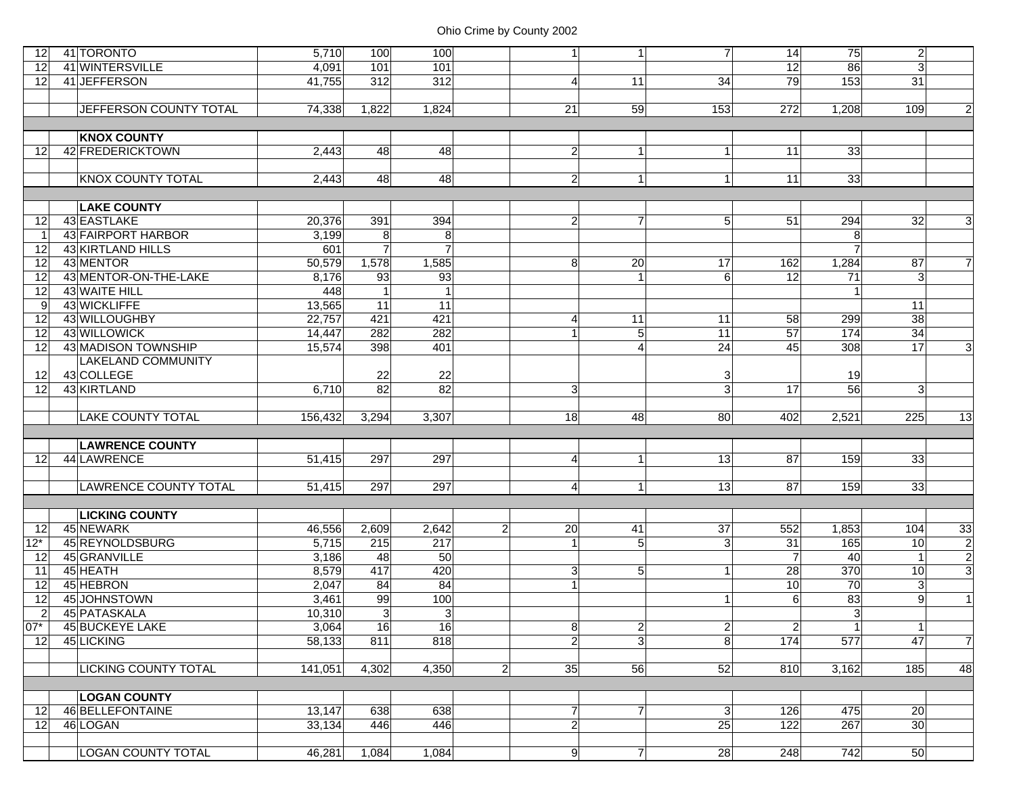| 12              | 41 TORONTO                | 5,710   | 100              | 100             | 1 <sup>1</sup>       | 1               | 7 <sup>1</sup> | 14              | 75              | $\mathbf{2}$    |                |
|-----------------|---------------------------|---------|------------------|-----------------|----------------------|-----------------|----------------|-----------------|-----------------|-----------------|----------------|
| 12              | 41 WINTERSVILLE           | 4,091   | 101              | 101             |                      |                 |                | 12              | 86              | $\overline{3}$  |                |
| $12 \,$         | 41 JEFFERSON              | 41,755  | $\overline{312}$ | 312             | $\overline{4}$       | 11              | 34             | 79              | 153             | 31              |                |
|                 |                           |         |                  |                 |                      |                 |                |                 |                 |                 |                |
|                 | JEFFERSON COUNTY TOTAL    | 74,338  | 1,822            | 1,824           | 21                   | 59              | 153            | 272             | 1,208           | 109             | $\overline{2}$ |
|                 |                           |         |                  |                 |                      |                 |                |                 |                 |                 |                |
|                 | <b>KNOX COUNTY</b>        |         |                  |                 |                      |                 |                |                 |                 |                 |                |
| $12 \,$         | 42 FREDERICKTOWN          | 2,443   | 48               | 48              | $\overline{2}$       | 1               | 11             | 11              | 33              |                 |                |
|                 |                           |         |                  |                 |                      |                 |                |                 |                 |                 |                |
|                 | <b>KNOX COUNTY TOTAL</b>  | 2,443   | 48               | 48              | $\overline{2}$       | $\mathbf{1}$    | 1 <sup>1</sup> | 11              | 33              |                 |                |
|                 |                           |         |                  |                 |                      |                 |                |                 |                 |                 |                |
|                 | <b>LAKE COUNTY</b>        |         |                  |                 |                      |                 |                |                 |                 |                 |                |
| 12              | 43 EASTLAKE               | 20,376  | 391              | 394             | $\overline{2}$       | $\overline{7}$  | 5 <sup>1</sup> | 51              | 294             | 32              | 3              |
| - 1             | 43 FAIRPORT HARBOR        | 3,199   | 8                | 8               |                      |                 |                |                 | 8 <sup>1</sup>  |                 |                |
| 12              | 43 KIRTLAND HILLS         | 601     | $\overline{7}$   |                 |                      |                 |                |                 |                 |                 |                |
| 12              | 43 MENTOR                 | 50,579  | 1,578            | 1,585           | 8                    | 20              | 17             | 162             | 1,284           | 87              | $\overline{7}$ |
| 12              | 43 MENTOR-ON-THE-LAKE     | 8,176   | 93               | 93              |                      | 1               | 6              | 12              | $\overline{71}$ | 3               |                |
| 12              | 43 WAITE HILL             | 448     | $\mathbf{1}$     |                 |                      |                 |                |                 |                 |                 |                |
| -9              | 43 WICKLIFFE              | 13,565  | $\overline{11}$  | $\overline{11}$ |                      |                 |                |                 |                 | 11              |                |
| 12              | 43 WILLOUGHBY             | 22,757  | 421              | 421             | $\overline{4}$       | 11              | 11             | 58              | 299             | 38              |                |
| 12              | 43 WILLOWICK              | 14,447  | 282              | 282             |                      | $\sqrt{5}$      | 11             | 57              | 174             | 34              |                |
| 12              | 43 MADISON TOWNSHIP       | 15,574  | 398              | 401             |                      | $\overline{4}$  | 24             | 45              | 308             | 17              | $\mathbf{3}$   |
|                 | <b>LAKELAND COMMUNITY</b> |         |                  |                 |                      |                 |                |                 |                 |                 |                |
| 12              | 43 COLLEGE                |         | 22               | 22              |                      |                 | 3              |                 | 19              |                 |                |
| 12              | 43 KIRTLAND               | 6,710   | 82               | 82              | 3                    |                 | 3 <sup>1</sup> | 17              | 56              | $\overline{3}$  |                |
|                 |                           |         |                  |                 |                      |                 |                |                 |                 |                 |                |
|                 | <b>LAKE COUNTY TOTAL</b>  | 156,432 | 3,294            | 3,307           | 18                   | 48              | 80             | 402             | 2,521           | 225             | 13             |
|                 |                           |         |                  |                 |                      |                 |                |                 |                 |                 |                |
|                 | <b>LAWRENCE COUNTY</b>    |         |                  |                 |                      |                 |                |                 |                 |                 |                |
| 12 <sup>°</sup> | 44 LAWRENCE               | 51,415  | 297              | 297             | $\overline{4}$       | 1               | 13             | 87              | 159             | 33              |                |
|                 |                           |         |                  |                 |                      |                 |                |                 |                 |                 |                |
|                 | LAWRENCE COUNTY TOTAL     | 51,415  | 297              | 297             | $\overline{4}$       | $\mathbf{1}$    | 13             | 87              | 159             | 33              |                |
|                 |                           |         |                  |                 |                      |                 |                |                 |                 |                 |                |
|                 | <b>LICKING COUNTY</b>     |         |                  |                 |                      |                 |                |                 |                 |                 |                |
| 12              | 45 NEWARK                 | 46,556  | 2,609            | 2,642           | 20<br>$\overline{2}$ | $\overline{41}$ | 37             | 552             | 1,853           | 104             | 33             |
| $12*$           | 45 REYNOLDSBURG           | 5,715   | 215              | 217             |                      | 5               | 3 <sup>1</sup> | 31              | 165             | 10              | $\overline{2}$ |
| 12              | 45 GRANVILLE              | 3,186   | 48               | 50              |                      |                 |                | $\overline{7}$  | 40              | $\overline{1}$  | $\overline{c}$ |
| 11              | 45 HEATH                  | 8,579   | 417              | 420             | $\overline{3}$       | 5               | 1 <sup>1</sup> | 28              | 370             | 10              | دى             |
| 12              | 45 HEBRON                 | 2,047   | 84               | 84              |                      |                 |                | 10              | 70              | $\mathbf{3}$    |                |
| 12              |                           |         |                  |                 |                      |                 |                |                 |                 |                 |                |
|                 | 45 JOHNSTOWN              | 3,461   | 99               | 100             |                      |                 | 1 <sup>1</sup> | $6\phantom{1}6$ | 83              | 9               | $\mathbf{1}$   |
| $\overline{2}$  | 45 PATASKALA              | 10,310  | 3                | 3               |                      |                 |                |                 | 3 <sup>l</sup>  |                 |                |
| $07*$           | 45 BUCKEYE LAKE           | 3,064   | 16               | 16              | 8 <sup>2</sup>       | $2\vert$        | $2\vert$       | $\overline{2}$  | 1               | $\vert$ 1       |                |
| 12              | 45 LICKING                | 58,133  | 811              | 818             | $\overline{2}$       | $\overline{3}$  | $\overline{8}$ | 174             | 577             | 47              | $\overline{7}$ |
|                 |                           |         |                  |                 |                      |                 |                |                 |                 |                 |                |
|                 | LICKING COUNTY TOTAL      | 141,051 | 4,302            | 4,350           | $\overline{2}$<br>35 | 56              | 52             | 810             | 3,162           | 185             | 48             |
|                 |                           |         |                  |                 |                      |                 |                |                 |                 |                 |                |
|                 | <b>LOGAN COUNTY</b>       |         |                  |                 |                      |                 |                |                 |                 |                 |                |
| 12              | 46 BELLEFONTAINE          | 13,147  | 638              | 638             | $\overline{7}$       | $\overline{7}$  | 3              | 126             | 475             | 20              |                |
| 12 <sup>°</sup> | 46 LOGAN                  | 33,134  | 446              | 446             | $\mathbf{2}$         |                 | 25             | 122             | 267             | 30 <sub>l</sub> |                |
|                 | <b>LOGAN COUNTY TOTAL</b> | 46,281  | 1,084            | 1,084           | 9                    | $\overline{7}$  | 28             | 248             | 742             | 50              |                |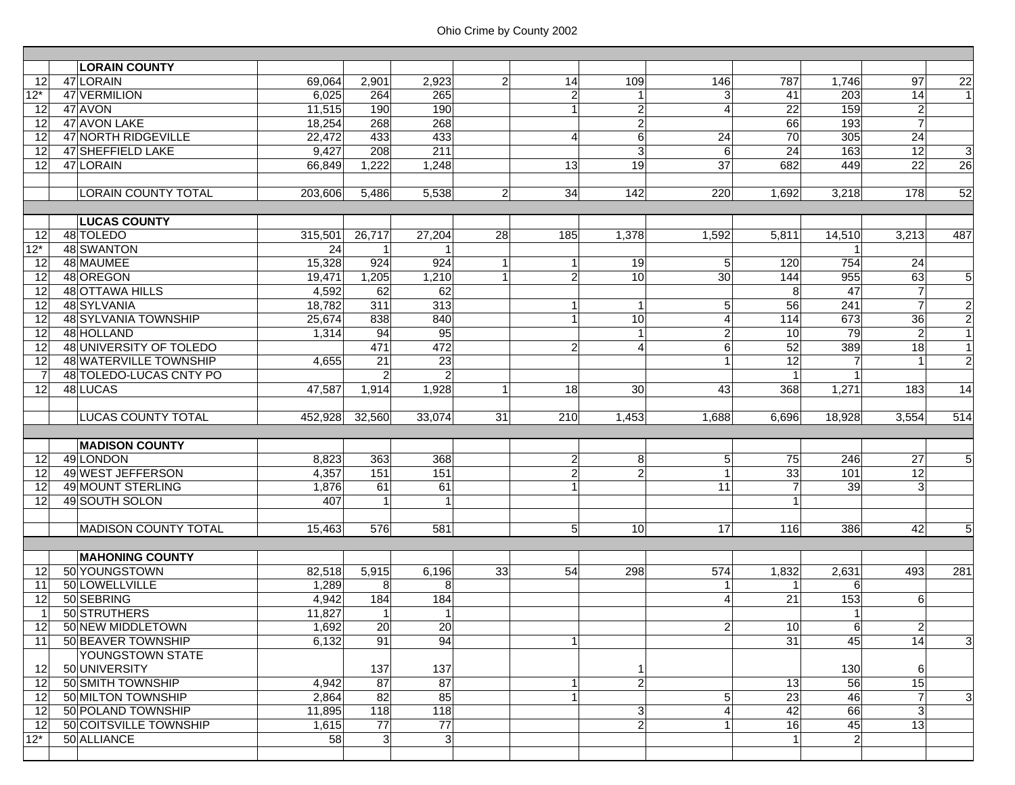|                | <b>LORAIN COUNTY</b>           |         |                   |                |                 |                |                                |                |                 |                  |                |                 |
|----------------|--------------------------------|---------|-------------------|----------------|-----------------|----------------|--------------------------------|----------------|-----------------|------------------|----------------|-----------------|
| 12             | 47 LORAIN                      | 69,064  | 2,901             | 2,923          | $\overline{2}$  | 14             | 109                            | 146            | 787             | 1,746            | 97             | $\overline{22}$ |
| $12*$          | 47 VERMILION                   | 6,025   | 264               | 265            |                 | $\overline{2}$ | $\mathbf{1}$                   | 3              | 41              | 203              | 14             |                 |
| 12             | 47 AVON                        | 11,515  | 190               | 190            |                 | 1              | $\overline{2}$                 | 4              | 22              | 159              | $\mathbf{2}$   |                 |
| 12             | 47 AVON LAKE                   | 18.254  | 268               | 268            |                 |                | $\mathbf{2}$                   |                | 66              | 193              | $\overline{7}$ |                 |
| 12             | 47 NORTH RIDGEVILLE            | 22,472  | 433               | 433            |                 | $\overline{4}$ | $6\phantom{1}$                 | 24             | $\overline{70}$ | 305              | 24             |                 |
| 12             | 47 SHEFFIELD LAKE              | 9,427   | 208               | 211            |                 |                | $\overline{3}$                 | 6              | $\overline{24}$ | 163              | 12             | ω               |
| 12             | 47 LORAIN                      | 66,849  | 1,222             | 1,248          |                 | 13             | 19                             | 37             | 682             | 449              | 22             | 26              |
|                |                                |         |                   |                |                 |                |                                |                |                 |                  |                |                 |
|                | <b>LORAIN COUNTY TOTAL</b>     | 203,606 | 5,486             | 5,538          | $\overline{2}$  | 34             | 142                            | 220            | 1,692           | 3,218            | 178            | 52              |
|                |                                |         |                   |                |                 |                |                                |                |                 |                  |                |                 |
|                | <b>LUCAS COUNTY</b>            |         |                   |                |                 |                |                                |                |                 |                  |                |                 |
| 12             | 48 TOLEDO                      | 315,501 | 26,717            | 27,204         | 28              | 185            | 1,378                          | 1,592          | 5,811           | 14,510           | 3,213          | 487             |
| $12*$          | <b>48 SWANTON</b>              | 24      |                   |                |                 |                |                                |                |                 |                  |                |                 |
| 12             | 48 MAUMEE                      | 15,328  | 924               | 924            |                 | $\mathbf{1}$   | 19                             | 5              | 120             | 754              | 24             |                 |
| 12             | 48 OREGON                      | 19,471  | 1,205             | 1,210          |                 | $\overline{2}$ | 10 <sup>1</sup>                | 30             | 144             | 955              | 63             | $\overline{5}$  |
| 12             | 48 OTTAWA HILLS                | 4,592   | 62                | 62             |                 |                |                                |                | 8               | 47               | $\overline{7}$ |                 |
| 12             | 48 SYLVANIA                    | 18,782  | 311               | 313            |                 | $\mathbf{1}$   | $\vert$ 1                      | 5              | $\overline{56}$ | $\overline{241}$ | $\overline{7}$ | $\overline{2}$  |
| 12             | 48 SYLVANIA TOWNSHIP           | 25,674  | 838               | 840            |                 | 1 <sup>1</sup> | 10                             | 4              | 114             | 673              | 36             | $\overline{2}$  |
| 12             | 48 HOLLAND                     | 1,314   | 94                | 95             |                 |                | $\vert$ 1                      | $\overline{a}$ | 10              | 79               | $\overline{2}$ | $\overline{1}$  |
| 12             | <b>48 UNIVERSITY OF TOLEDO</b> |         | 471               | 472            |                 | $\overline{2}$ | $\vert$                        | 6              | 52              | 389              | 18             | 1               |
| 12             | 48 WATERVILLE TOWNSHIP         | 4,655   | $\overline{21}$   | 23             |                 |                |                                | $\mathbf{1}$   | $\overline{12}$ | 7                |                | $\overline{2}$  |
| $\overline{7}$ | 48 TOLEDO-LUCAS CNTY PO        |         | $\overline{2}$    | $\overline{2}$ |                 |                |                                |                |                 |                  |                |                 |
| 12             | 48 LUCAS                       | 47,587  | 1,914             | 1,928          |                 | 18             | 30                             | 43             | 368             | 1,271            | 183            | 14              |
|                |                                |         |                   |                |                 |                |                                |                |                 |                  |                |                 |
|                |                                |         |                   |                |                 |                |                                |                |                 |                  |                |                 |
|                | <b>LUCAS COUNTY TOTAL</b>      | 452,928 | 32,560            | 33,074         | $\overline{31}$ | 210            | 1,453                          | 1,688          | 6,696           | 18,928           | 3,554          | 514             |
|                |                                |         |                   |                |                 |                |                                |                |                 |                  |                |                 |
|                | <b>MADISON COUNTY</b>          |         |                   |                |                 |                |                                |                |                 |                  |                |                 |
| 12             | 49 LONDON                      | 8,823   | 363               | 368            |                 | $\overline{2}$ | $8^{\circ}$                    | $\overline{5}$ | 75              | 246              | 27             | $\overline{5}$  |
| 12             | 49 WEST JEFFERSON              | 4,357   | $\frac{151}{151}$ | 151            |                 | $\overline{2}$ | $\overline{2}$                 | $\mathbf{1}$   | 33              | 101              | 12             |                 |
| 12             | 49 MOUNT STERLING              | 1,876   | 61                | 61             |                 | 1              |                                | 11             | $\overline{7}$  | 39               | $\overline{3}$ |                 |
| 12             | 49 SOUTH SOLON                 | 407     |                   | 1              |                 |                |                                |                | 1               |                  |                |                 |
|                |                                |         |                   |                |                 |                |                                |                |                 |                  |                |                 |
|                | <b>MADISON COUNTY TOTAL</b>    | 15,463  | 576               | 581            |                 | 5 <sup>1</sup> | 10                             | 17             | 116             | 386              | 42             | $\overline{5}$  |
|                |                                |         |                   |                |                 |                |                                |                |                 |                  |                |                 |
|                | <b>MAHONING COUNTY</b>         |         |                   |                |                 |                |                                |                |                 |                  |                |                 |
| 12             | 50 YOUNGSTOWN                  | 82,518  | 5,915             | 6,196          | 33              | 54             | 298                            | 574            | 1,832           | 2,631            | 493            | 281             |
| 11             | 50 LOWELLVILLE                 | 1,289   | 8                 | 8              |                 |                |                                | -1             | -1              | 6                |                |                 |
| 12             | 50 SEBRING                     | 4,942   | 184               | 184            |                 |                |                                | 4              | 21              | 153              | $6 \mid$       |                 |
| $\overline{1}$ | 50 STRUTHERS                   | 11,827  | $\mathbf 1$       | $\vert$        |                 |                |                                |                |                 |                  |                |                 |
| 12             | 50 NEW MIDDLETOWN              | 1,692   | 20                | 20             |                 |                |                                | $2\vert$       | 10              | $6 \mid$         | $\mathbf{2}$   |                 |
| 11             | 50 BEAVER TOWNSHIP             | 6,132   | 91                | 94             |                 |                |                                |                | 31              | 45               | 14             | دى              |
|                | YOUNGSTOWN STATE               |         |                   |                |                 |                |                                |                |                 |                  |                |                 |
| 12             | 50 UNIVERSITY                  |         | 137               | 137            |                 |                | 1                              |                |                 | 130              | 6              |                 |
| 12             | 50 SMITH TOWNSHIP              | 4,942   | 87                | 87             |                 |                | $\overline{2}$                 |                | 13              | 56               | 15             |                 |
| 12             | 50 MILTON TOWNSHIP             | 2,864   | 82                | 85             |                 |                |                                | 5              | $\overline{23}$ | 46               | $\overline{7}$ | $\mathbf{3}$    |
| 12             | 50 POLAND TOWNSHIP             | 11,895  | 118               | 118            |                 |                |                                |                | 42              | 66               | $\overline{3}$ |                 |
| 12             | 50 COITSVILLE TOWNSHIP         | 1,615   | 77                | 77             |                 |                | $\mathbf{3}$<br>$\overline{2}$ |                | 16              | 45               | 13             |                 |
| $12*$          | 50 ALLIANCE                    | 58      | 3                 | $\mathbf{3}$   |                 |                |                                |                |                 | $\overline{2}$   |                |                 |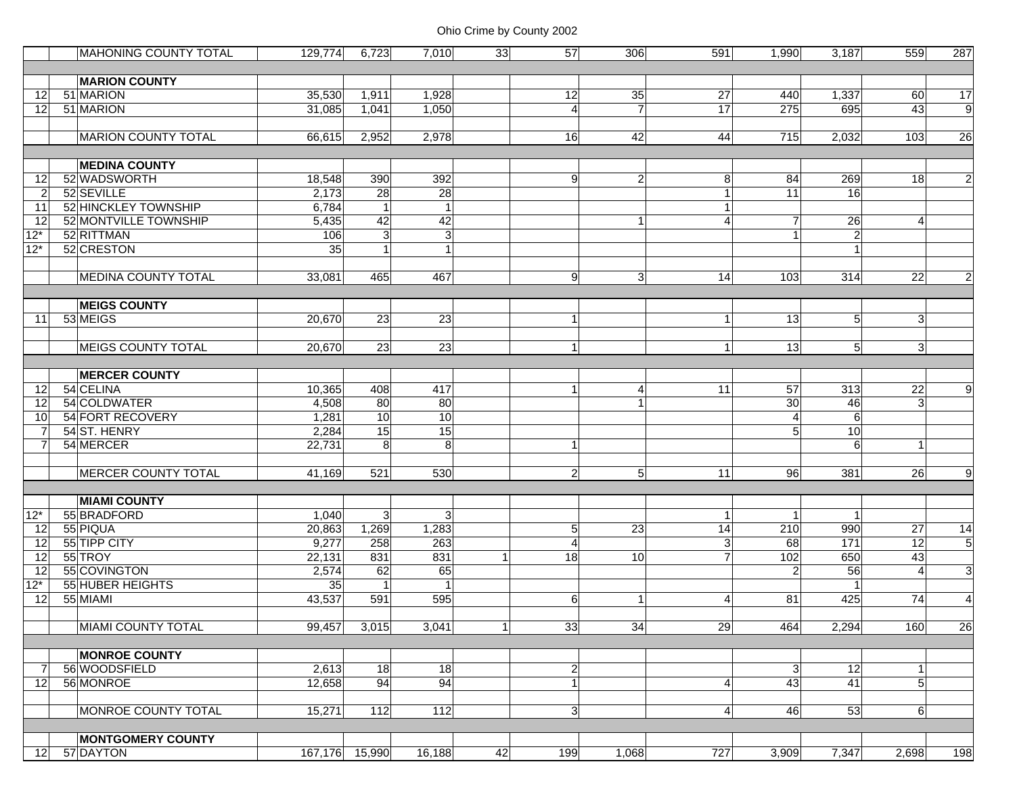|                 | <b>MAHONING COUNTY TOTAL</b> | 129,774        | 6,723          | 7,010          | 33             | 57             | 306             | 591                  | 1,990           | 3,187           | 559             | 287             |
|-----------------|------------------------------|----------------|----------------|----------------|----------------|----------------|-----------------|----------------------|-----------------|-----------------|-----------------|-----------------|
|                 |                              |                |                |                |                |                |                 |                      |                 |                 |                 |                 |
|                 | <b>MARION COUNTY</b>         |                |                |                |                |                |                 |                      |                 |                 |                 |                 |
| 12              | 51 MARION                    | 35,530         | 1,911          | 1,928          |                | 12             | 35              | 27                   | 440             | 1,337           | 60              | $\overline{17}$ |
| 12              | 51 MARION                    | 31,085         | 1,041          | 1,050          |                | 4              | $\overline{7}$  | 17                   | 275             | 695             | 43              | $\overline{9}$  |
|                 |                              |                |                |                |                |                |                 |                      |                 |                 |                 |                 |
|                 | <b>MARION COUNTY TOTAL</b>   | 66,615         | 2,952          | 2,978          |                | 16             | 42              | 44                   | 715             | 2,032           | 103             | 26              |
|                 |                              |                |                |                |                |                |                 |                      |                 |                 |                 |                 |
|                 | <b>MEDINA COUNTY</b>         |                |                |                |                |                |                 |                      |                 |                 |                 |                 |
| 12              | 52 WADSWORTH                 | 18,548         | 390            | 392            |                | 9              | $\mathbf{2}$    | 8                    | 84              | 269             | 18              | $\overline{2}$  |
| $\overline{2}$  | 52 SEVILLE                   | 2,173          | 28             | 28             |                |                |                 | $\mathbf 1$          | 11              | 16              |                 |                 |
| 11              | 52 HINCKLEY TOWNSHIP         | 6,784          | $\mathbf{1}$   | $\vert$        |                |                |                 |                      |                 |                 |                 |                 |
| 12              | 52 MONTVILLE TOWNSHIP        | 5,435          | 42             | 42             |                |                | $\mathbf{1}$    | 4                    | $\overline{7}$  | 26              | $\overline{4}$  |                 |
| $12*$           | 52 RITTMAN                   | 106            | $\mathbf{3}$   | 3 <sup>l</sup> |                |                |                 |                      | $\overline{1}$  | $\overline{2}$  |                 |                 |
| $12*$           | 52 CRESTON                   | 35             | 1              | 1              |                |                |                 |                      |                 |                 |                 |                 |
|                 |                              |                |                |                |                |                |                 |                      |                 |                 |                 |                 |
|                 | <b>MEDINA COUNTY TOTAL</b>   | 33,081         | 465            | 467            |                | 9 <sup>1</sup> | $\vert 3 \vert$ | 14                   | 103             | 314             | $\overline{22}$ | $\overline{a}$  |
|                 |                              |                |                |                |                |                |                 |                      |                 |                 |                 |                 |
|                 | <b>MEIGS COUNTY</b>          |                |                |                |                |                |                 |                      |                 |                 |                 |                 |
| 11              | 53 MEIGS                     | 20,670         | 23             | 23             |                | $\mathbf{1}$   |                 | $\blacktriangleleft$ | 13              | 5 <sup>1</sup>  | 3 <sup>1</sup>  |                 |
|                 |                              |                |                |                |                |                |                 |                      |                 |                 |                 |                 |
|                 | <b>MEIGS COUNTY TOTAL</b>    | 20,670         | 23             | 23             |                | $\vert$        |                 | $\mathbf{1}$         | 13              | 5 <sub>l</sub>  | $\mathbf{3}$    |                 |
|                 |                              |                |                |                |                |                |                 |                      |                 |                 |                 |                 |
|                 | <b>MERCER COUNTY</b>         |                |                |                |                |                |                 |                      |                 |                 |                 |                 |
| 12              | 54 CELINA                    | 10,365         | 408            | 417            |                | $\mathbf{1}$   | $\overline{4}$  | 11                   | $\overline{57}$ | 313             | $\overline{22}$ | 9               |
| $\overline{12}$ | 54 COLDWATER                 | 4,508          | 80             | 80             |                |                |                 |                      | 30              | 46              | 3 <sup>1</sup>  |                 |
| 10              | 54 FORT RECOVERY             | 1,281          | 10             | 10             |                |                |                 |                      | $\overline{4}$  | 6 <sup>1</sup>  |                 |                 |
| $\overline{7}$  | 54 ST. HENRY                 | 2,284          | 15             | 15             |                |                |                 |                      | 5               | 10              |                 |                 |
| 7               | 54 MERCER                    | 22,731         | 8              | 8              |                | 1              |                 |                      |                 | 6               |                 |                 |
|                 |                              |                |                |                |                |                |                 |                      |                 |                 |                 |                 |
|                 | <b>MERCER COUNTY TOTAL</b>   | 41,169         | 521            | 530            |                | $\overline{2}$ | 5 <sub>l</sub>  | 11                   | 96              | 381             | 26              | 9               |
|                 |                              |                |                |                |                |                |                 |                      |                 |                 |                 |                 |
|                 | <b>MIAMI COUNTY</b>          |                |                |                |                |                |                 |                      |                 |                 |                 |                 |
| $12*$           | 55 BRADFORD                  | 1,040          | 3              | 3 <sup>2</sup> |                |                |                 | $\overline{1}$       | -1              |                 |                 |                 |
| 12              | 55 PIQUA                     | 20,863         | 1,269          | 1,283          |                | 5 <sub>l</sub> | 23              | $\overline{14}$      | 210             | 990             | 27              | $\overline{14}$ |
| 12              | 55 TIPP CITY                 | 9,277          | 258            | 263            |                | $\overline{4}$ |                 | $\mathbf{3}$         | 68              | $\frac{1}{171}$ | 12              | $\overline{5}$  |
| 12              | 55 TROY                      | 22,131         | 831            | 831            |                | 18             | 10              | $\overline{7}$       | 102             | 650             | 43              |                 |
| 12              | 55 COVINGTON                 | 2,574          | 62             | 65             |                |                |                 |                      | 2               | 56              | $\overline{4}$  | $\mathbf{3}$    |
| $12*$           | 55 HUBER HEIGHTS             | 35             | $\overline{1}$ | 1              |                |                |                 |                      |                 |                 |                 |                 |
| 12              | 55 MIAMI                     | 43,537         | 591            | 595            |                | 6              | $\vert$         | 4                    | 81              | 425             | 74              | 4               |
|                 |                              |                |                |                |                |                |                 |                      |                 |                 |                 |                 |
|                 | MIAMI COUNTY TOTAL           | 99,457         | 3,015          | 3,041          | 1 <sup>1</sup> | 33             | 34              | 29                   | 464             | 2,294           | 160             | 26              |
|                 |                              |                |                |                |                |                |                 |                      |                 |                 |                 |                 |
|                 | <b>MONROE COUNTY</b>         |                |                |                |                |                |                 |                      |                 |                 |                 |                 |
| 7               | 56 WOODSFIELD                | 2,613          | 18             | 18             |                | $\overline{2}$ |                 |                      | 3 <sup>1</sup>  | 12              | $\mathbf{1}$    |                 |
| 12              | 56 MONROE                    | 12,658         | 94             | 94             |                | $\mathbf{1}$   |                 | 4                    | 43              | 41              | 5 <sup>1</sup>  |                 |
|                 |                              |                |                |                |                |                |                 |                      |                 |                 |                 |                 |
|                 | MONROE COUNTY TOTAL          | 15,271         | 112            | 112            |                | 3 <sup>1</sup> |                 | $\overline{4}$       | 46              | 53              | $6 \mid$        |                 |
|                 |                              |                |                |                |                |                |                 |                      |                 |                 |                 |                 |
|                 | <b>MONTGOMERY COUNTY</b>     |                |                |                |                |                |                 |                      |                 |                 |                 |                 |
| 12              | 57 DAYTON                    | 167,176 15,990 |                | 16,188         | 42             | 199            | 1,068           | 727                  | 3,909           | 7,347           | 2,698           | 198             |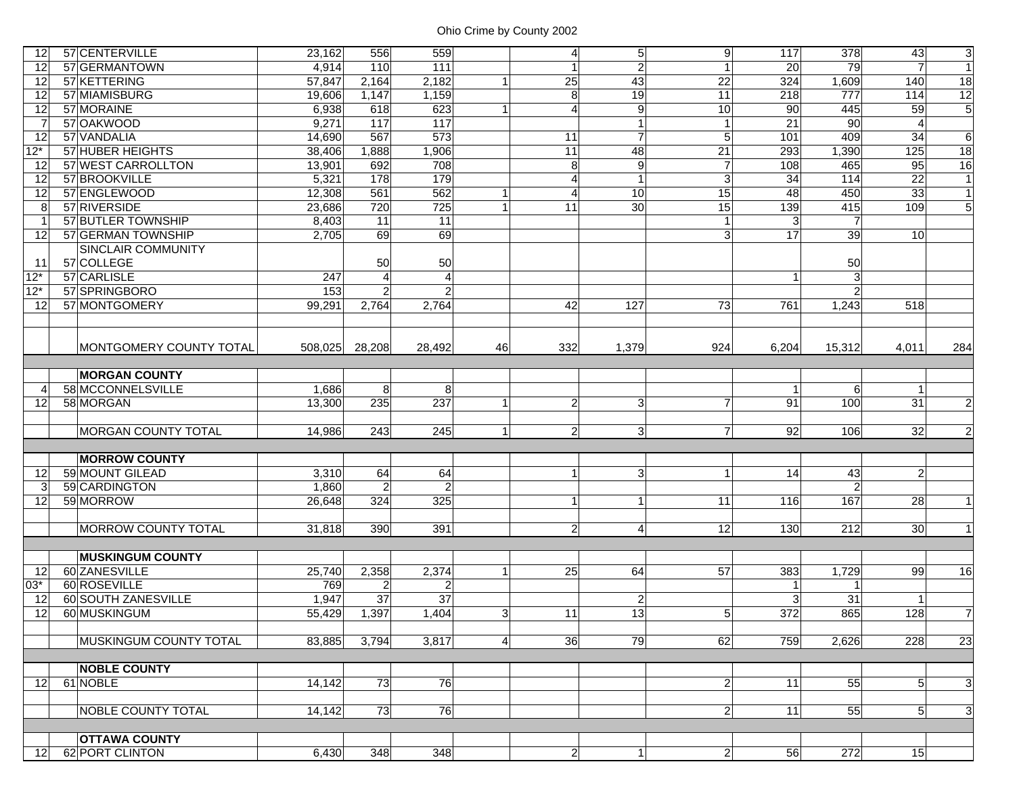| 12              | 57 CENTERVILLE                 | 23,162  | 556               | 559               |                | $\overline{4}$  | $\overline{5}$ | 9               | 117              | 378             | 43              | $\overline{3}$ |
|-----------------|--------------------------------|---------|-------------------|-------------------|----------------|-----------------|----------------|-----------------|------------------|-----------------|-----------------|----------------|
| $\overline{12}$ | 57 GERMANTOWN                  | 4,914   | 110               | 111               |                | $\mathbf{1}$    | $\overline{2}$ | 1               | 20               | 79              | $\overline{7}$  | $\overline{1}$ |
| 12              | 57 KETTERING                   | 57,847  | 2,164             | 2,182             |                | 25              | 43             | $\overline{22}$ | 324              | 1,609           | 140             | 18             |
| 12              | 57 MIAMISBURG                  | 19,606  | 1,147             | 1,159             |                | 8               | 19             | 11              | 218              | 777             | 114             | $\frac{12}{5}$ |
| 12              | 57 MORAINE                     | 6,938   | 618               | 623               |                | 4               | 9              | 10              | 90               | 445             | 59              |                |
| $\overline{7}$  | 57 OAKWOOD                     | 9,271   | $\frac{117}{117}$ | $\frac{117}{117}$ |                |                 | $\overline{1}$ |                 | $\overline{21}$  | $\overline{90}$ | 4               |                |
| 12              | 57 VANDALIA                    | 14,690  | 567               | 573               |                | 11              | $\overline{7}$ | 5               | 101              | 409             | 34              | 6              |
| $12*$           | 57 HUBER HEIGHTS               | 38,406  | 1,888             | 1,906             |                | $\overline{11}$ | 48             | 21              | 293              | 1,390           | 125             | 18             |
| $\overline{12}$ | 57 WEST CARROLLTON             | 13,901  | 692               | 708               |                | 8               | 9              | $\overline{7}$  | 108              | 465             | 95              | 16             |
| $\overline{12}$ | 57 BROOKVILLE                  | 5,321   | 178               | 179               |                | $\overline{A}$  | $\mathbf{1}$   | 3               | $\overline{34}$  | 114             | 22              | $\overline{1}$ |
| 12              | 57 ENGLEWOOD                   | 12,308  | 561               | 562               |                | 4               | 10             | 15              | 48               | 450             | 33              | $\vert$ 1      |
| 8               | 57 RIVERSIDE                   | 23,686  | 720               | 725               |                | 11              | 30             | $\overline{15}$ | 139              | 415             | 109             | 5 <sub>1</sub> |
| $\overline{1}$  | 57 BUTLER TOWNSHIP             | 8,403   | 11                | $\overline{11}$   |                |                 |                |                 | 3                | $\overline{7}$  |                 |                |
| 12              | 57 GERMAN TOWNSHIP             | 2,705   | 69                | 69                |                |                 |                | $\overline{3}$  | $\overline{17}$  | 39              | 10              |                |
|                 | SINCLAIR COMMUNITY             |         |                   |                   |                |                 |                |                 |                  |                 |                 |                |
| 11              | 57 COLLEGE                     |         | 50                | 50                |                |                 |                |                 |                  | 50              |                 |                |
| $12*$           | 57 CARLISLE                    | 247     | $\overline{4}$    | $\vert$           |                |                 |                |                 |                  | $\overline{3}$  |                 |                |
| $12*$           | 57 SPRINGBORO                  | 153     | $\overline{2}$    | $\overline{2}$    |                |                 |                |                 |                  | $\overline{2}$  |                 |                |
| -12             | 57 MONTGOMERY                  | 99,291  | 2,764             | 2,764             |                | 42              | 127            | 73              | 761              | 1,243           | 518             |                |
|                 |                                |         |                   |                   |                |                 |                |                 |                  |                 |                 |                |
|                 |                                |         |                   |                   |                |                 |                |                 |                  |                 |                 |                |
|                 | <b>MONTGOMERY COUNTY TOTAL</b> | 508,025 | 28,208            | 28,492            | 46             | 332             | 1,379          | 924             | 6,204            | 15,312          | 4,011           | 284            |
|                 |                                |         |                   |                   |                |                 |                |                 |                  |                 |                 |                |
|                 | <b>MORGAN COUNTY</b>           |         |                   |                   |                |                 |                |                 |                  |                 |                 |                |
| 4               | 58 MCCONNELSVILLE              | 1,686   | 8                 | 8 <sup>1</sup>    |                |                 |                |                 | $\overline{1}$   | 6               | $\mathbf{1}$    |                |
| 12              | 58 MORGAN                      |         | 235               | 237               |                |                 |                | 7               | 91               | 100             | $\overline{31}$ | $\overline{2}$ |
|                 |                                | 13,300  |                   |                   |                | $\mathbf{2}$    | 3              |                 |                  |                 |                 |                |
|                 |                                |         |                   |                   |                |                 |                |                 |                  |                 |                 |                |
|                 | MORGAN COUNTY TOTAL            | 14,986  | 243               | 245               | 1              | $\overline{2}$  | $\mathbf{3}$   | $\overline{7}$  | 92               | 106             | 32              | $\overline{2}$ |
|                 |                                |         |                   |                   |                |                 |                |                 |                  |                 |                 |                |
|                 | <b>MORROW COUNTY</b>           |         |                   |                   |                |                 |                |                 |                  |                 |                 |                |
| 12              | 59 MOUNT GILEAD                | 3,310   | 64                | 64                |                | $\mathbf{1}$    | 3              | 1               | 14               | 43              | $\overline{a}$  |                |
| 3               | 59 CARDINGTON                  | 1,860   | $\overline{2}$    | $\overline{c}$    |                |                 |                |                 |                  | $\overline{a}$  |                 |                |
| 12              | 59 MORROW                      | 26,648  | 324               | 325               |                | $\mathbf{1}$    | $\mathbf{1}$   | 11              | 116              | 167             | 28              | 1              |
|                 |                                |         |                   |                   |                |                 |                |                 |                  |                 |                 |                |
|                 | <b>MORROW COUNTY TOTAL</b>     | 31,818  | 390               | 391               |                | 2 <sub>l</sub>  | $\overline{4}$ | 12              | 130              | 212             | 30              | 1              |
|                 |                                |         |                   |                   |                |                 |                |                 |                  |                 |                 |                |
|                 | <b>MUSKINGUM COUNTY</b>        |         |                   |                   |                |                 |                |                 |                  |                 |                 |                |
| 12              | 60 ZANESVILLE                  | 25,740  | 2,358             | 2,374             |                | 25              | 64             | 57              | 383              | 1,729           | 99              | 16             |
| $03*$           | 60 ROSEVILLE                   | 769     | $\overline{2}$    | $\overline{2}$    |                |                 |                |                 | -1               |                 |                 |                |
| 12              | 60 SOUTH ZANESVILLE            | 1,947   | $\overline{37}$   | 37                |                |                 | $\overline{2}$ |                 | 3                | 31              |                 |                |
| 12              | 60 MUSKINGUM                   | 55,429  | 1,397             | 1,404             | $\mathbf{3}$   | 11              | 13             | 5 <sup>1</sup>  | $\overline{372}$ | 865             | 128             | $\overline{7}$ |
|                 |                                |         |                   |                   |                |                 |                |                 |                  |                 |                 |                |
|                 | <b>IMUSKINGUM COUNTY TOTAL</b> | 83,885  | 3,794             | 3,817             | $\overline{4}$ | 36              | 79             | 62              | 759              | 2,626           | 228             | 23             |
|                 |                                |         |                   |                   |                |                 |                |                 |                  |                 |                 |                |
|                 | <b>NOBLE COUNTY</b>            |         |                   |                   |                |                 |                |                 |                  |                 |                 |                |
| 12              | 61 NOBLE                       | 14,142  | 73                | 76                |                |                 |                | $\overline{2}$  | 11               | 55              | $5\overline{)}$ | 3 <sub>l</sub> |
|                 |                                |         |                   |                   |                |                 |                |                 |                  |                 |                 |                |
|                 | <b>NOBLE COUNTY TOTAL</b>      | 14,142  | 73                | 76                |                |                 |                | $\overline{2}$  | 11               | 55              | 5 <sup>1</sup>  | $\overline{3}$ |
|                 |                                |         |                   |                   |                |                 |                |                 |                  |                 |                 |                |
|                 | <b>OTTAWA COUNTY</b>           |         |                   |                   |                |                 |                |                 |                  |                 |                 |                |
| 12              | 62 PORT CLINTON                | 6,430   | 348               | 348               |                | $\mathbf{2}$    | $\mathbf{1}$   | $\overline{2}$  | 56               | 272             | 15              |                |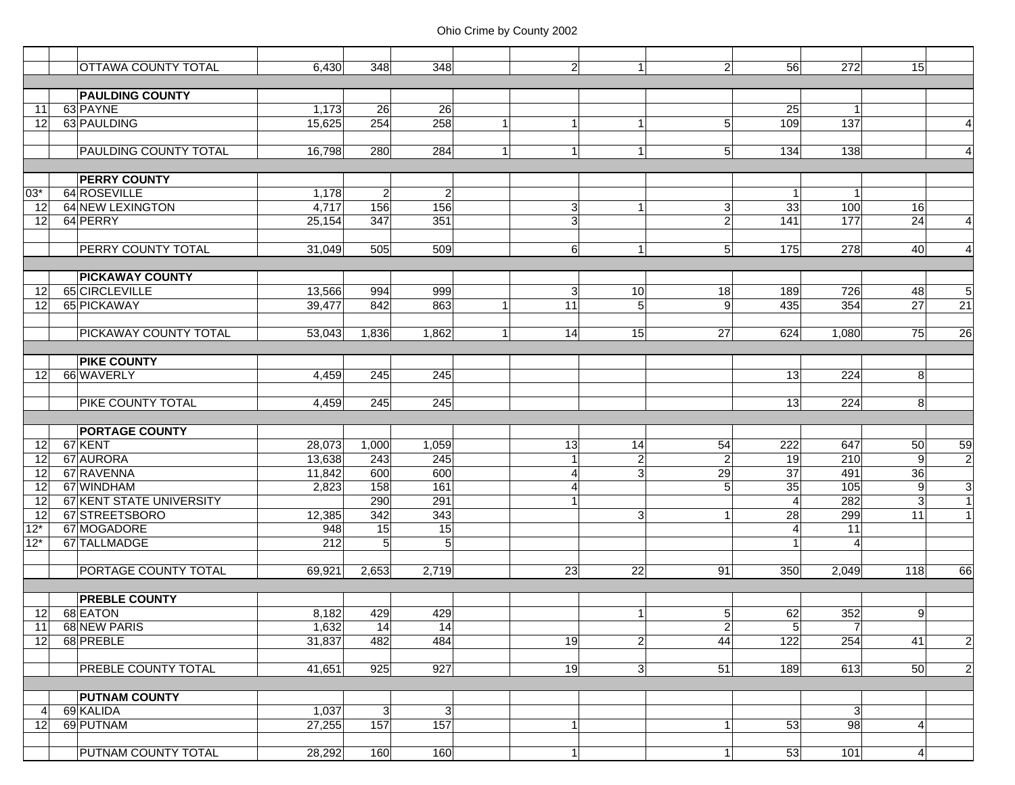|                 | <b>OTTAWA COUNTY TOTAL</b>   |        | 348            | 348            |                | $\mathbf{1}$   | $\overline{2}$  | 56               | 272             | 15             |                 |
|-----------------|------------------------------|--------|----------------|----------------|----------------|----------------|-----------------|------------------|-----------------|----------------|-----------------|
|                 |                              | 6,430  |                |                | $\overline{2}$ |                |                 |                  |                 |                |                 |
|                 | <b>PAULDING COUNTY</b>       |        |                |                |                |                |                 |                  |                 |                |                 |
|                 |                              |        |                |                |                |                |                 |                  |                 |                |                 |
| 11              | 63 PAYNE                     | 1,173  | 26             | 26             |                |                |                 | 25               |                 |                |                 |
| 12              | 63 PAULDING                  | 15,625 | 254            | 258            | $\overline{1}$ | $\mathbf{1}$   | 5 <sup>5</sup>  | 109              | 137             |                | $\overline{4}$  |
|                 |                              |        |                |                |                |                |                 |                  |                 |                |                 |
|                 | <b>PAULDING COUNTY TOTAL</b> | 16,798 | 280            | 284<br>1       | $\mathbf{1}$   | 1              | 5 <sup>1</sup>  | 134              | 138             |                | $\overline{4}$  |
|                 |                              |        |                |                |                |                |                 |                  |                 |                |                 |
|                 | <b>PERRY COUNTY</b>          |        |                |                |                |                |                 |                  |                 |                |                 |
| 03*             | 64 ROSEVILLE                 | 1,178  | $\overline{2}$ | $\overline{2}$ |                |                |                 | $\mathbf 1$      |                 |                |                 |
| 12              | 64 NEW LEXINGTON             | 4,717  | 156            | 156            | $\mathbf{3}$   | $\mathbf{1}$   | 3               | 33               | 100             | 16             |                 |
| 12              | 64 PERRY                     | 25,154 | 347            | 351            | 3              |                | $\overline{2}$  | $\overline{141}$ | 177             | 24             | $\overline{4}$  |
|                 |                              |        |                |                |                |                |                 |                  |                 |                |                 |
|                 | <b>PERRY COUNTY TOTAL</b>    | 31,049 | 505            | 509            | 6              | $\mathbf{1}$   | 5 <sup>1</sup>  | 175              | 278             | 40             | $\overline{4}$  |
|                 |                              |        |                |                |                |                |                 |                  |                 |                |                 |
|                 | <b>PICKAWAY COUNTY</b>       |        |                |                |                |                |                 |                  |                 |                |                 |
| 12              | 65 CIRCLEVILLE               | 13,566 | 994            | 999            | 3              | 10             | 18              | 189              | 726             | 48             | $\overline{5}$  |
| 12              | 65 PICKAWAY                  | 39,477 | 842            | 863            | 11             | $\overline{5}$ | 9 <sup>1</sup>  | 435              | 354             | 27             | $\overline{21}$ |
|                 |                              |        |                |                |                |                |                 |                  |                 |                |                 |
|                 | <b>PICKAWAY COUNTY TOTAL</b> | 53,043 | 1,836          | 1,862<br>1     | 14             | 15             | 27              | 624              | 1,080           | 75             | 26              |
|                 |                              |        |                |                |                |                |                 |                  |                 |                |                 |
|                 | <b>PIKE COUNTY</b>           |        |                |                |                |                |                 |                  |                 |                |                 |
| 12              | 66 WAVERLY                   | 4,459  | 245            | 245            |                |                |                 | 13               | 224             | 8              |                 |
|                 |                              |        |                |                |                |                |                 |                  |                 |                |                 |
|                 | <b>PIKE COUNTY TOTAL</b>     | 4,459  | 245            | 245            |                |                |                 | 13               | 224             | 8              |                 |
|                 |                              |        |                |                |                |                |                 |                  |                 |                |                 |
|                 | <b>PORTAGE COUNTY</b>        |        |                |                |                |                |                 |                  |                 |                |                 |
| 12              | 67 KENT                      | 28,073 | 1,000          | 1,059          | 13             | 14             | 54              | 222              | 647             | 50             | 59              |
| 12              | 67 AURORA                    | 13,638 | 243            | 245            | $\mathbf{1}$   | $\overline{c}$ | $\overline{2}$  | 19               | 210             | $\overline{9}$ | $\overline{2}$  |
| 12              | 67 RAVENNA                   | 11,842 | 600            | 600            | 4              | 3 <sup>1</sup> | $\overline{29}$ | 37               | 491             | 36             |                 |
| 12              | 67 WINDHAM                   | 2,823  | 158            | 161            | 4              |                | 5 <sup>5</sup>  | 35               | 105             | 9              | 3               |
| 12              | 67 KENT STATE UNIVERSITY     |        | 290            | 291            |                |                |                 | $\overline{4}$   | 282             | $\mathbf{3}$   | $\mathbf{1}$    |
| $\overline{12}$ | 67 STREETSBORO               | 12,385 | 342            | 343            |                | $\overline{3}$ | 1               | 28               | 299             | 11             | $\overline{1}$  |
| $12*$           | 67 MOGADORE                  | 948    | 15             | 15             |                |                |                 | 4                | $\overline{11}$ |                |                 |
| $12*$           | 67 TALLMADGE                 | 212    | 5              | 5              |                |                |                 | $\overline{1}$   |                 |                |                 |
|                 |                              |        |                |                |                |                |                 |                  |                 |                |                 |
|                 | <b>PORTAGE COUNTY TOTAL</b>  | 69.921 | 2,653          | 2,719          | 23             | 22             | 91              | 350              | 2,049           | 118            | 66              |
|                 |                              |        |                |                |                |                |                 |                  |                 |                |                 |
|                 | <b>PREBLE COUNTY</b>         |        |                |                |                |                |                 |                  |                 |                |                 |
| 12              | 68 EATON                     | 8,182  | 429            | 429            |                | $\mathbf{1}$   | 5 <sup>1</sup>  | 62               | 352             | 9              |                 |
| 11              | 68 NEW PARIS                 | 1,632  | 14             | 14             |                |                | $2\vert$        | $5\overline{)}$  | 7               |                |                 |
| 12              | 68 PREBLE                    | 31,837 | 482            | 484            | 19             | 2              | 44              | 122              | 254             | 41             | $\overline{2}$  |
|                 |                              |        |                |                |                |                |                 |                  |                 |                |                 |
|                 | <b>PREBLE COUNTY TOTAL</b>   | 41,651 | 925            | 927            | 19             | $\mathbf{3}$   | 51              | 189              | 613             | 50             | $\overline{2}$  |
|                 |                              |        |                |                |                |                |                 |                  |                 |                |                 |
|                 | <b>PUTNAM COUNTY</b>         |        |                |                |                |                |                 |                  |                 |                |                 |
| 4               | 69 KALIDA                    | 1,037  | 3 <sup>l</sup> | 3 <sup>1</sup> |                |                |                 |                  | 3 <sup>1</sup>  |                |                 |
| 12              | 69 PUTNAM                    | 27,255 | 157            | 157            | $\mathbf{1}$   |                | 1 <sup>1</sup>  | 53               | 98              | $\overline{4}$ |                 |
|                 |                              |        |                |                |                |                |                 |                  |                 |                |                 |
|                 | <b>PUTNAM COUNTY TOTAL</b>   | 28,292 | 160            | 160            | $\mathbf{1}$   |                | 1 <sup>1</sup>  | 53               | 101             | $\overline{4}$ |                 |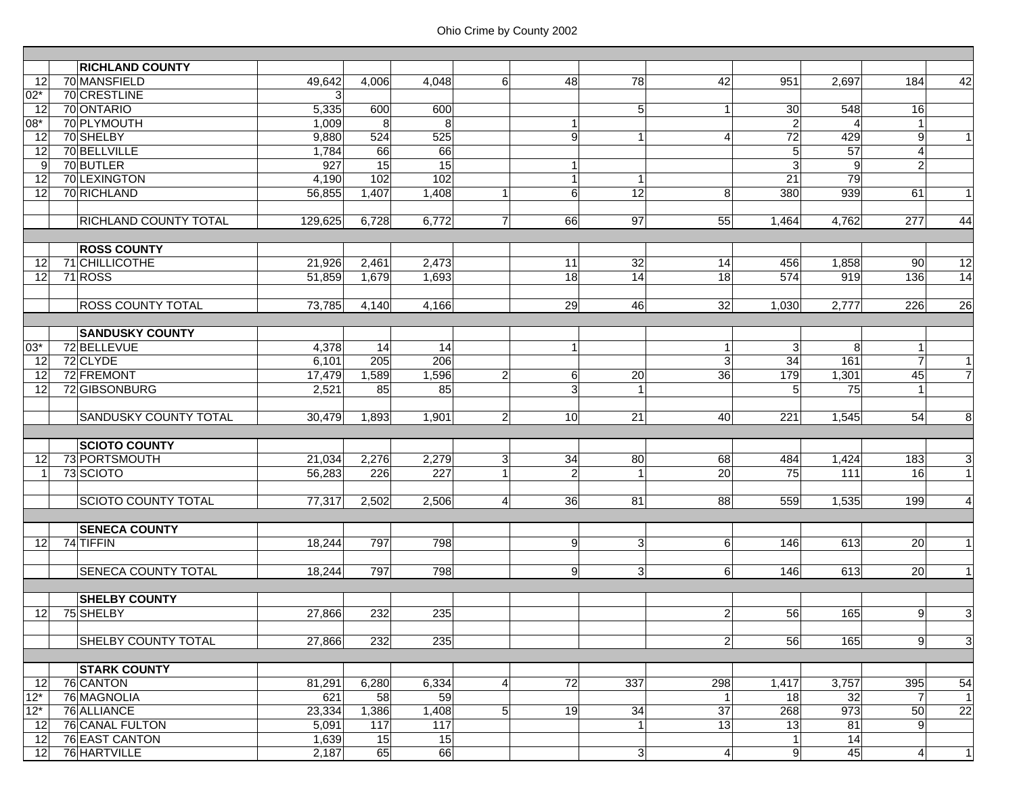|                 | <b>RICHLAND COUNTY</b>                   |                 |             |                  |                |                     |                 |                 |                  |                        |                      |                                  |
|-----------------|------------------------------------------|-----------------|-------------|------------------|----------------|---------------------|-----------------|-----------------|------------------|------------------------|----------------------|----------------------------------|
| 12              | 70 MANSFIELD                             | 49,642          | 4,006       | 4,048            | 6 <sup>1</sup> | 48                  | 78              | 42              | 951              | 2,697                  | 184                  | 42                               |
| $02*$           | 70 CRESTLINE                             | 3               |             |                  |                |                     |                 |                 |                  |                        |                      |                                  |
| 12              | 70 ONTARIO                               | 5,335           | 600         | 600              |                |                     | 5               | $\mathbf{1}$    | 30               | 548                    | 16                   |                                  |
| 08*             | 70 PLYMOUTH                              | 1,009           | 8           | 8                |                | $\mathbf{1}$        |                 |                 | $\overline{2}$   |                        | $\mathbf{1}$         |                                  |
| 12              | 70 SHELBY                                | 9,880           | 524         | 525              |                | 9                   | 1               | $\overline{4}$  | 72               | 429                    | 9                    | $\mathbf{1}$                     |
| 12              | 70 BELLVILLE                             | 1,784           | 66          | 66               |                |                     |                 |                 | 5                | $\overline{57}$        | $\overline{4}$       |                                  |
| 9               | 70 BUTLER                                | 927             | 15          | 15               |                | $\mathbf{1}$        |                 |                 | $\overline{3}$   | 9                      | $\overline{2}$       |                                  |
| 12              | 70 LEXINGTON                             | 4,190           | 102         | 102              |                | $\mathbf{1}$        | $\mathbf{1}$    |                 | 21               | 79                     |                      |                                  |
| 12              | 70 RICHLAND                              | 56,855          | 1,407       | 1,408            |                | $6\phantom{1}$      | $\overline{12}$ | 8               | 380              | 939                    | 61                   | $\mathbf{1}$                     |
|                 |                                          |                 |             |                  |                |                     |                 |                 |                  |                        |                      |                                  |
|                 | <b>RICHLAND COUNTY TOTAL</b>             | 129,625         | 6,728       | 6,772            | $\overline{7}$ | 66                  | 97              | 55              | 1,464            | 4,762                  | 277                  | 44                               |
|                 |                                          |                 |             |                  |                |                     |                 |                 |                  |                        |                      |                                  |
|                 | <b>ROSS COUNTY</b>                       |                 |             |                  |                |                     |                 |                 |                  |                        |                      |                                  |
| 12              | 71 CHILLICOTHE                           | 21,926          | 2,461       | 2,473            |                | 11                  | 32              | 14              | 456              | 1,858                  | <b>90</b>            | 12                               |
| 12              | 71 ROSS                                  | 51,859          | 1,679       | 1,693            |                | 18                  | 14              | 18              | 574              | 919                    | 136                  | 14                               |
|                 |                                          |                 |             |                  |                |                     |                 |                 |                  |                        |                      |                                  |
|                 | <b>ROSS COUNTY TOTAL</b>                 | 73,785          | 4,140       | 4,166            |                | 29                  | 46              | 32              | 1,030            | 2,777                  | 226                  | 26                               |
|                 |                                          |                 |             |                  |                |                     |                 |                 |                  |                        |                      |                                  |
| $03*$           | <b>SANDUSKY COUNTY</b><br>72 BELLEVUE    |                 | 14          | 14               |                | $\overline{1}$      |                 | $\mathbf{1}$    | 3                | 8                      | $\mathbf{1}$         |                                  |
|                 |                                          | 4,378           | 205         |                  |                |                     |                 |                 | $\overline{34}$  |                        |                      |                                  |
| 12              | 72 CLYDE                                 | 6,101           |             | 206              |                |                     |                 | $\mathbf{3}$    |                  | 161                    | $\overline{7}$<br>45 | $\overline{1}$<br>$\overline{7}$ |
| 12              | 72 FREMONT<br>72 GIBSONBURG              | 17,479<br>2,521 | 1,589<br>85 | 1,596<br>85      | $\overline{2}$ | 6<br>3 <sup>l</sup> | 20              | 36              | 179              | 1,301<br>75            | $\overline{1}$       |                                  |
| 12              |                                          |                 |             |                  |                |                     | $\mathbf{1}$    |                 | 5                |                        |                      |                                  |
|                 | <b>SANDUSKY COUNTY TOTAL</b>             | 30,479          | 1,893       | 1,901            | $\overline{2}$ | 10 <sup>1</sup>     | 21              | 40              | 221              | 1,545                  | 54                   | $\infty$                         |
|                 |                                          |                 |             |                  |                |                     |                 |                 |                  |                        |                      |                                  |
|                 | <b>SCIOTO COUNTY</b>                     |                 |             |                  |                |                     |                 |                 |                  |                        |                      |                                  |
| 12              | 73 PORTSMOUTH                            | 21,034          | 2,276       | 2,279            | 3              | 34                  | 80              | 68              | 484              | 1,424                  | 183                  | $\mathbf{3}$                     |
| $\overline{1}$  | 73 SCIOTO                                | 56,283          | 226         | $\overline{227}$ |                | $\overline{2}$      | $\mathbf{1}$    | $\overline{20}$ | $\overline{75}$  | 111                    | 16                   | $\vert$ 1                        |
|                 |                                          |                 |             |                  |                |                     |                 |                 |                  |                        |                      |                                  |
|                 | <b>SCIOTO COUNTY TOTAL</b>               | 77,317          | 2,502       | 2,506            | $\overline{4}$ | 36                  | 81              | 88              | 559              | 1,535                  | 199                  | $\overline{4}$                   |
|                 |                                          |                 |             |                  |                |                     |                 |                 |                  |                        |                      |                                  |
|                 | <b>SENECA COUNTY</b>                     |                 |             |                  |                |                     |                 |                 |                  |                        |                      |                                  |
| 12 <sup>1</sup> | 74 TIFFIN                                | 18,244          | 797         | 798              |                | 9                   | $\vert 3 \vert$ | 6 <sup>1</sup>  | 146              | 613                    | <b>20</b>            | $\mathbf{1}$                     |
|                 |                                          |                 |             |                  |                |                     |                 |                 |                  |                        |                      |                                  |
|                 | <b>SENECA COUNTY TOTAL</b>               | 18,244          | 797         | 798              |                | 9                   | 3 <sup>1</sup>  | 6 <sup>1</sup>  | 146              | 613                    | 20                   | 1                                |
|                 |                                          |                 |             |                  |                |                     |                 |                 |                  |                        |                      |                                  |
|                 | <b>SHELBY COUNTY</b>                     |                 |             |                  |                |                     |                 |                 |                  |                        |                      |                                  |
| 12              | 75 SHELBY                                | 27,866          | 232         | 235              |                |                     |                 | $\overline{2}$  | 56               | 165                    | 9                    | $\mathbf{3}$                     |
|                 |                                          |                 |             |                  |                |                     |                 |                 |                  |                        |                      |                                  |
|                 | <b>SHELBY COUNTY TOTAL</b>               | 27,866          | 232         | 235              |                |                     |                 | $\mathbf{2}$    | 56               | 165                    | 9                    | 3                                |
|                 |                                          |                 |             |                  |                |                     |                 |                 |                  |                        |                      |                                  |
|                 | <b>STARK COUNTY</b>                      |                 |             |                  |                |                     |                 |                 |                  |                        |                      |                                  |
| 12              | 76 CANTON                                | 81,291          | 6,280       | 6,334            | 4              | 72                  | 337             | 298             | 1,417            | 3,757                  | 395                  | 54                               |
| $12*$           | 76 MAGNOLIA                              | 621             | 58          | 59               |                |                     |                 | $\mathbf{1}$    | 18               | 32                     | $\overline{7}$       | $\vert$                          |
| $12*$           | 76 ALLIANCE                              | 23,334          | 1,386       | 1,408            | 5 <sub>1</sub> | 19                  | 34              | 37<br>13        | 268              | 973<br>$\overline{81}$ | 50                   | $\overline{22}$                  |
| 12              | 76 CANAL FULTON<br><b>76 EAST CANTON</b> | 5,091           | 117         | 117              |                |                     | $\mathbf{1}$    |                 | 13               | 14                     | $\overline{9}$       |                                  |
| 12              | 76 HARTVILLE                             | 1,639           | 15          | 15               |                |                     |                 |                 | 1                |                        |                      |                                  |
| 12              |                                          | 2,187           | 65          | 66               |                |                     | $\overline{3}$  | 4               | $\boldsymbol{9}$ | 45                     | $\overline{4}$       | 1                                |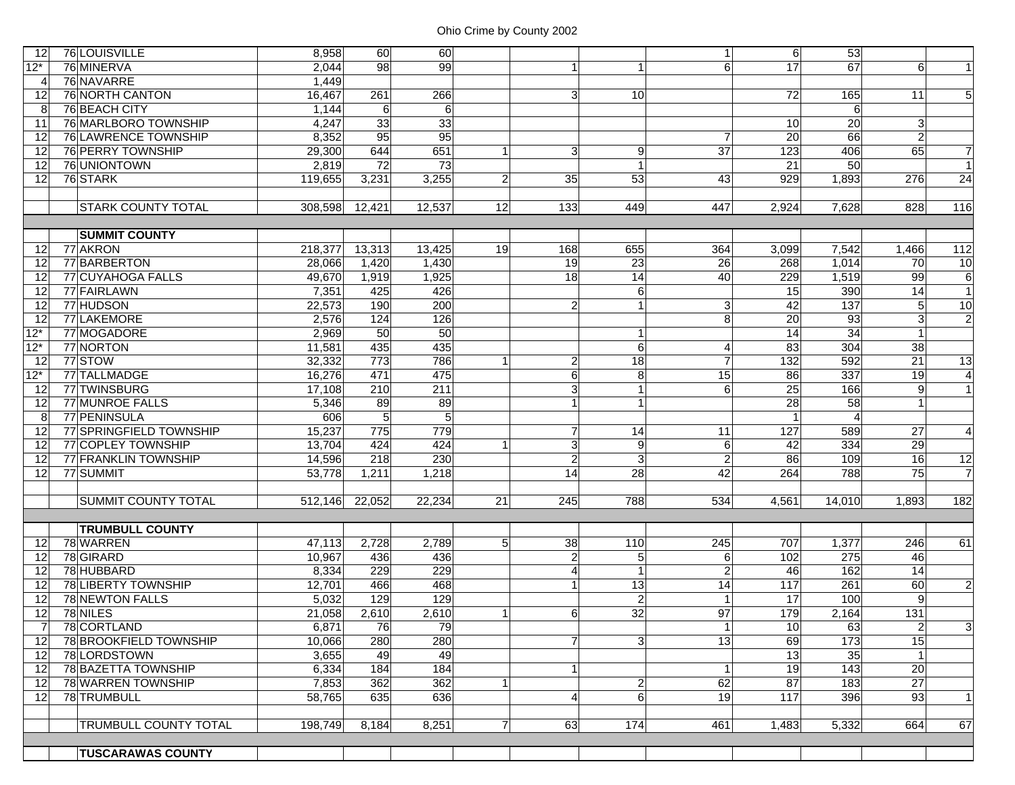| 12                   | 76 LOUISVILLE                | 8,958   | 60     | 60     |                |                |                | $1\vert$        | 6               | 53               |                 |                 |
|----------------------|------------------------------|---------|--------|--------|----------------|----------------|----------------|-----------------|-----------------|------------------|-----------------|-----------------|
| $12*$                | 76 MINERVA                   | 2,044   | 98     | 99     |                | $\mathbf{1}$   | $\mathbf 1$    | 6               | 17              | 67               | 6 <sup>1</sup>  |                 |
| 4                    | 76 NAVARRE                   | 1,449   |        |        |                |                |                |                 |                 |                  |                 |                 |
| 12                   | 76 NORTH CANTON              | 16,467  | 261    | 266    |                | $\overline{3}$ | 10             |                 | 72              | 165              | 11              | 5 <sub>5</sub>  |
| 8                    | 76 BEACH CITY                | 1,144   | 6      | 6      |                |                |                |                 |                 | 6                |                 |                 |
| 11                   | 76 MARLBORO TOWNSHIP         | 4,247   | 33     | 33     |                |                |                |                 | 10              | 20               | $\mathbf{3}$    |                 |
| 12                   | 76 LAWRENCE TOWNSHIP         | 8,352   | 95     | 95     |                |                |                | $\overline{7}$  | $\overline{20}$ | 66               | $\overline{2}$  |                 |
| 12                   | 76 PERRY TOWNSHIP            | 29,300  | 644    | 651    |                | $\overline{3}$ | 9              | $\overline{37}$ | 123             | 406              | 65              | $\overline{7}$  |
| 12                   | 76 UNIONTOWN                 | 2,819   | 72     | 73     |                |                | $\mathbf{1}$   |                 | 21              | 50               |                 |                 |
| 12                   | 76 STARK                     | 119,655 | 3,231  | 3,255  | $\overline{2}$ | 35             | 53             | 43              | 929             | 1,893            | 276             | $\overline{24}$ |
|                      |                              |         |        |        |                |                |                |                 |                 |                  |                 |                 |
|                      | <b>STARK COUNTY TOTAL</b>    | 308,598 | 12,421 | 12,537 | 12             | 133            | 449            | 447             | 2,924           | 7,628            | 828             | 116             |
|                      |                              |         |        |        |                |                |                |                 |                 |                  |                 |                 |
| <b>SUMMIT COUNTY</b> |                              |         |        |        |                |                |                |                 |                 |                  |                 |                 |
| 12                   | 77 AKRON                     | 218,377 | 13,313 | 13,425 | 19             | 168            | 655            | 364             | 3,099           | 7,542            | 1,466           | 112             |
| 12                   | 77 BARBERTON                 | 28,066  | 1,420  | 1,430  |                | 19             | 23             | 26              | 268             | 1,014            | 70              | 10              |
| 12                   | 77 CUYAHOGA FALLS            | 49,670  | 1,919  | 1,925  |                | 18             | 14             | 40              | 229             | 1,519            | 99              | $6\overline{6}$ |
| 12                   | 77 FAIRLAWN                  | 7,351   | 425    | 426    |                |                | 6              |                 | $\overline{15}$ | 390              | 14              | $\overline{1}$  |
| 12                   | 77 HUDSON                    | 22,573  | 190    | 200    |                | $\overline{2}$ | $\overline{1}$ | $\overline{3}$  | 42              | $\overline{137}$ | 5 <sup>1</sup>  | 10              |
| 12                   | 77 LAKEMORE                  | 2,576   | 124    | 126    |                |                |                | 8               | 20              | 93               | $\overline{3}$  | $\overline{2}$  |
| $12*$                | 77 MOGADORE                  | 2,969   | 50     | 50     |                |                | $\mathbf{1}$   |                 | 14              | 34               |                 |                 |
| $12*$                | 77 NORTON                    | 11,581  | 435    | 435    |                |                | 6              | 4               | 83              | 304              | 38              |                 |
| 12                   | 77STOW                       | 32,332  | 773    | 786    |                | $\overline{2}$ | $\frac{1}{8}$  | $\overline{7}$  | 132             | 592              | 21              | $\overline{13}$ |
| $12*$                | 77 TALLMADGE                 | 16,276  | 471    | 475    |                | $6 \,$         | 8              | 15              | 86              | 337              | 19              | $\overline{4}$  |
| 12                   | 77 TWINSBURG                 | 17,108  | 210    | 211    |                | 3              | $\mathbf{1}$   | 6               | $\overline{25}$ | 166              | 9               |                 |
| 12                   | 77 MUNROE FALLS              | 5,346   | 89     | 89     |                | 1              | $\mathbf{1}$   |                 | 28              | 58               |                 |                 |
| 8                    | 77 PENINSULA                 | 606     | 5      | 5      |                |                |                |                 | $\overline{1}$  | 4                |                 |                 |
| 12                   | 77 SPRINGFIELD TOWNSHIP      | 15,237  | 775    | 779    |                | $\overline{7}$ | 14             | 11              | $\frac{1}{27}$  | 589              | 27              | $\overline{4}$  |
| 12                   | 77 COPLEY TOWNSHIP           | 13,704  | 424    | 424    |                | 3              | 9              | 6               | 42              | 334              | 29              |                 |
| 12                   | 77 FRANKLIN TOWNSHIP         | 14,596  | 218    | 230    |                | $\overline{2}$ | 3              | $\overline{2}$  | 86              | 109              | 16              | 12              |
| 12                   | 77 SUMMIT                    | 53,778  | 1,211  | 1,218  |                | 14             | 28             | 42              | 264             | 788              | 75              | $\overline{7}$  |
|                      |                              |         |        |        |                |                |                |                 |                 |                  |                 |                 |
|                      | <b>SUMMIT COUNTY TOTAL</b>   | 512,146 | 22,052 | 22,234 | 21             | 245            | 788            | 534             | 4,561           | 14,010           | 1,893           | 182             |
|                      |                              |         |        |        |                |                |                |                 |                 |                  |                 |                 |
|                      | <b>TRUMBULL COUNTY</b>       |         |        |        |                |                |                |                 |                 |                  |                 |                 |
| 12                   | 78 WARREN                    | 47,113  | 2,728  | 2,789  | 5 <sup>1</sup> | 38             | 110            | 245             | 707             | 1,377            | 246             | 61              |
| 12                   | 78 GIRARD                    | 10.967  | 436    | 436    |                | $\overline{2}$ | 5              | 6               | 102             | 275              | 46              |                 |
| 12                   | 78 HUBBARD                   | 8,334   | 229    | 229    |                | $\overline{4}$ | $\mathbf{1}$   | $\overline{2}$  | 46              | 162              | 14              |                 |
| 12                   | 78 LIBERTY TOWNSHIP          | 12,701  | 466    | 468    |                | $\mathbf{1}$   | 13             | $\overline{14}$ | 117             | 261              | $\overline{60}$ | $\overline{c}$  |
| 12                   | 78 NEWTON FALLS              | 5,032   | 129    | 129    |                |                | $\overline{c}$ |                 | 17              | 100              | 9               |                 |
| 12                   | 78 NILES                     | 21,058  | 2,610  | 2,610  |                | $6 \,$         | 32             | 97              | 179             | 2,164            | 131             |                 |
| 7                    | 78 CORTLAND                  | 6,871   | 76     | 79     |                |                |                | 1               | 10              | 63               | $\mathbf{2}$    | $\overline{3}$  |
| 12 <sup>1</sup>      | 78 BROOKFIELD TOWNSHIP       | 10,066  | 280    | 280    |                | $\overline{7}$ | 3 <sup>1</sup> | 13              | 69              | 173              | 15              |                 |
| 12 <sup>1</sup>      | 78 LORDSTOWN                 | 3,655   | 49     | 49     |                |                |                |                 | $\overline{13}$ | 35               |                 |                 |
| 12                   | 78 BAZETTA TOWNSHIP          | 6,334   | 184    | 184    |                | 1              |                | $\vert$ 1       | 19              | 143              | 20              |                 |
| 12                   | 78 WARREN TOWNSHIP           | 7,853   | 362    | 362    |                |                | $\overline{c}$ | 62              | $\overline{87}$ | 183              | 27              |                 |
| 12 <sup>1</sup>      | 78 TRUMBULL                  | 58,765  | 635    | 636    |                | $\overline{4}$ | 6              | 19              | 117             | 396              | 93              | $\overline{1}$  |
|                      |                              |         |        |        |                |                |                |                 |                 |                  |                 |                 |
|                      | <b>TRUMBULL COUNTY TOTAL</b> | 198,749 | 8,184  | 8,251  | $\overline{7}$ | 63             | 174            | 461             | 1,483           | 5,332            | 664             | 67              |
|                      |                              |         |        |        |                |                |                |                 |                 |                  |                 |                 |
|                      | <b>TUSCARAWAS COUNTY</b>     |         |        |        |                |                |                |                 |                 |                  |                 |                 |
|                      |                              |         |        |        |                |                |                |                 |                 |                  |                 |                 |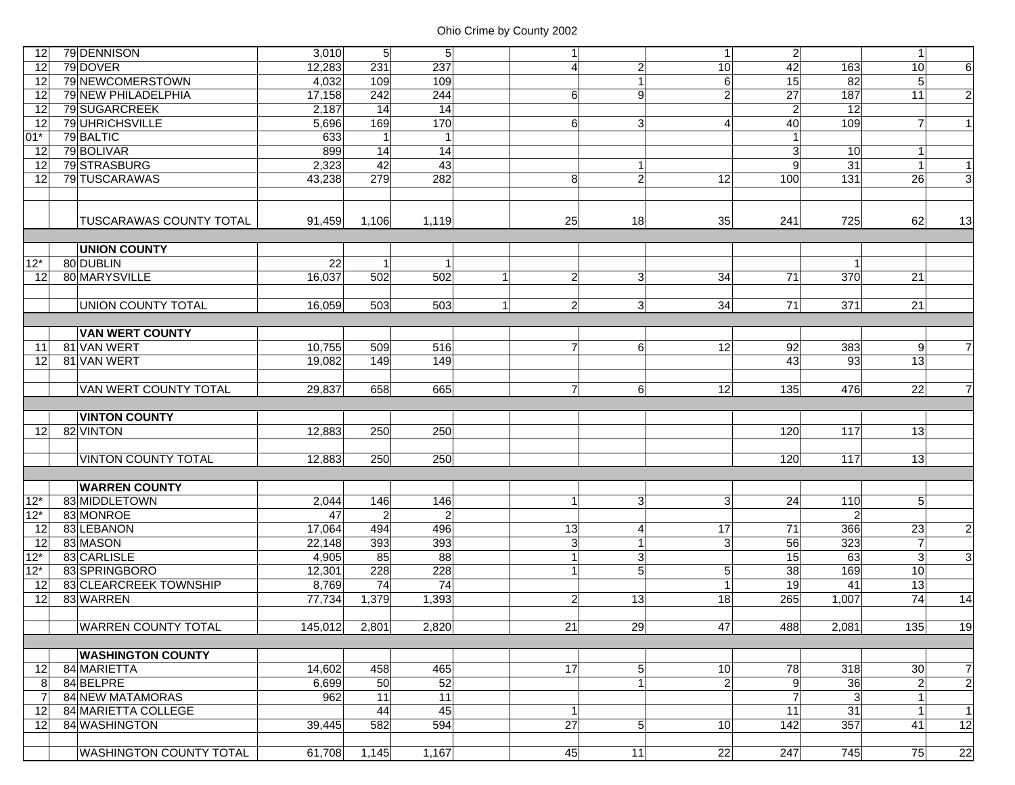| 12       | 79 DENNISON                          | 3,010   | 5 <sup>1</sup> | $5\overline{)}$ | 1                              |                                | 1 <sup>1</sup>                    | $\overline{2}$         |                | $\vert$ 1            |                     |
|----------|--------------------------------------|---------|----------------|-----------------|--------------------------------|--------------------------------|-----------------------------------|------------------------|----------------|----------------------|---------------------|
| 12       | 79 DOVER                             | 12,283  | 231            | 237             | $\overline{4}$                 | $\overline{2}$                 | 10                                | 42                     | 163            | 10                   | $6 \mid$            |
| 12       | 79 NEWCOMERSTOWN                     | 4,032   | 109            | 109             |                                | $\overline{1}$                 | 6                                 | $\overline{15}$        | 82             | $\sqrt{5}$           |                     |
| 12       | 79 NEW PHILADELPHIA                  | 17,158  | 242            | 244             | 6                              | 9                              | $\overline{2}$                    | $\overline{27}$        | 187            | 11                   | $\overline{2}$      |
| 12       | 79 SUGARCREEK                        | 2,187   | 14             | 14              |                                |                                |                                   | $\overline{2}$         | 12             |                      |                     |
| 12       | 79 UHRICHSVILLE                      | 5,696   | 169            | 170             | 6                              | 3                              | 4                                 | $\overline{40}$        | 109            | $\overline{7}$       | $\mathbf{1}$        |
| $01*$    | 79 BALTIC                            | 633     | 1              |                 |                                |                                |                                   |                        |                |                      |                     |
| 12       | 79 BOLIVAR                           | 899     | 14             | 14              |                                |                                |                                   | 3                      | 10             | 1                    |                     |
| 12       | 79 STRASBURG                         | 2,323   | 42             | $\overline{43}$ |                                | $\overline{1}$                 |                                   | 9                      | 31             | $\mathbf{1}$         | $\overline{1}$      |
| 12       | 79 TUSCARAWAS                        | 43,238  | 279            | 282             | 8                              | $\overline{2}$                 | 12                                | 100                    | 131            | 26                   | 3 <sup>l</sup>      |
|          |                                      |         |                |                 |                                |                                |                                   |                        |                |                      |                     |
|          |                                      |         |                |                 |                                |                                |                                   |                        |                |                      |                     |
|          | TUSCARAWAS COUNTY TOTAL              | 91,459  | 1,106          | 1,119           | 25                             | 18                             | 35                                | 241                    | 725            | 62                   | 13                  |
|          | <b>UNION COUNTY</b>                  |         |                |                 |                                |                                |                                   |                        |                |                      |                     |
| $12*$    | 80 DUBLIN                            | 22      | $\vert$ 1      |                 |                                |                                |                                   |                        | $\mathbf 1$    |                      |                     |
| 12       | 80 MARYSVILLE                        | 16,037  | 502            | 502             | $\overline{2}$                 | $\mathbf{3}$                   | 34                                | $\overline{71}$        | 370            | 21                   |                     |
|          |                                      |         |                |                 |                                |                                |                                   |                        |                |                      |                     |
|          | UNION COUNTY TOTAL                   | 16,059  | 503            | 503             | $\mathbf{2}$<br>1 <sup>1</sup> | $\overline{3}$                 | 34                                | 71                     | 371            | 21                   |                     |
|          |                                      |         |                |                 |                                |                                |                                   |                        |                |                      |                     |
|          | <b>VAN WERT COUNTY</b>               |         |                |                 |                                |                                |                                   |                        |                |                      |                     |
| 11       | 81 VAN WERT                          | 10,755  | 509            | 516             | $\overline{7}$                 | 6                              | 12                                | 92                     | 383            | 9                    | $\overline{7}$      |
| 12       | 81 VAN WERT                          | 19,082  | 149            | 149             |                                |                                |                                   | 43                     | 93             | 13                   |                     |
|          |                                      |         |                |                 |                                |                                |                                   |                        |                |                      |                     |
|          | <b>VAN WERT COUNTY TOTAL</b>         | 29,837  | 658            | 665             | $\overline{7}$                 | 6 <sup>1</sup>                 | 12                                | 135                    | 476            | 22                   | $\overline{7}$      |
|          |                                      |         |                |                 |                                |                                |                                   |                        |                |                      |                     |
|          | <b>VINTON COUNTY</b>                 |         |                |                 |                                |                                |                                   |                        |                |                      |                     |
| 12       | 82 VINTON                            | 12,883  | 250            | 250             |                                |                                |                                   | 120                    | 117            | 13                   |                     |
|          |                                      |         |                |                 |                                |                                |                                   |                        |                |                      |                     |
|          | <b>VINTON COUNTY TOTAL</b>           | 12,883  | 250            | 250             |                                |                                |                                   | 120                    | 117            | 13                   |                     |
|          |                                      |         |                |                 |                                |                                |                                   |                        |                |                      |                     |
|          | <b>WARREN COUNTY</b>                 |         |                |                 |                                |                                |                                   |                        |                |                      |                     |
| $12^*$   | 83 MIDDLETOWN                        | 2,044   | 146            | 146             | $\mathbf{1}$                   | $\overline{3}$                 | $\mathbf{3}$                      | 24                     | 110            | 5 <sub>l</sub>       |                     |
| $12*$    | 83 MONROE                            | 47      | $\overline{2}$ | $\overline{2}$  |                                |                                |                                   |                        | $\overline{2}$ |                      |                     |
| 12       | 83 LEBANON                           | 17,064  | 494            | 496             | 13                             | $\vert 4 \vert$                | $\overline{17}$                   | $\overline{71}$        | 366            | 23                   | $\overline{2}$      |
| 12       | 83 MASON                             | 22,148  | 393            | 393             | 3 <sup>1</sup>                 | $\mathbf{1}$                   | 3 <sup>1</sup>                    | 56                     | 323            | $\overline{7}$       |                     |
| $12*$    | 83 CARLISLE                          | 4,905   | 85             | 88              | 1                              | $\overline{3}$                 |                                   | 15                     | 63             | 3                    | $\overline{3}$      |
| $12*$    | 83 SPRINGBORO                        | 12,301  | 228            | 228             | 1 <sup>1</sup>                 | 5 <sub>1</sub>                 | 5                                 | 38                     | 169            | 10 <sup>1</sup>      |                     |
| 12       | 83 CLEARCREEK TOWNSHIP               | 8,769   | 74             | 74              |                                |                                |                                   | $\overline{19}$        | 41             | 13                   |                     |
| 12       | 83 WARREN                            | 77,734  | 1,379          | 1,393           | $\mathbf{2}$                   | 13                             | 18                                | 265                    | 1,007          | 74                   | 14                  |
|          |                                      |         |                |                 |                                |                                |                                   |                        |                |                      |                     |
|          | <b>WARREN COUNTY TOTAL</b>           | 145,012 | 2,801          | 2,820           | 21                             | 29                             | 47                                | 488                    | 2,081          | 135                  | 19                  |
|          |                                      |         |                |                 |                                |                                |                                   |                        |                |                      |                     |
|          | <b>WASHINGTON COUNTY</b>             |         |                |                 |                                |                                |                                   |                        |                |                      |                     |
| 12       | 84 MARIETTA<br>84 BELPRE             | 14,602  | 458<br>50      | 465<br>52       | 17                             | 5 <sub>l</sub><br>$\mathbf{1}$ | 10 <sup>1</sup><br>$\overline{2}$ | 78<br>$\boldsymbol{9}$ | 318<br>36      | 30<br>$\overline{a}$ | 7<br>$\overline{2}$ |
| 8        | 84 NEW MATAMORAS                     | 6,699   | 11             | 11              |                                |                                |                                   | $\overline{7}$         | 3              | 1                    |                     |
| 7        |                                      | 962     | 44             | 45              | $\mathbf{1}$                   |                                |                                   | 11                     | 31             | $\mathbf{1}$         | $\vert$ 1           |
| 12<br>12 | 84 MARIETTA COLLEGE<br>84 WASHINGTON |         | 582            | 594             | 27                             | 5 <sub>5</sub>                 | 10 <sup>1</sup>                   | 142                    | 357            | 41                   | 12                  |
|          |                                      | 39,445  |                |                 |                                |                                |                                   |                        |                |                      |                     |
|          | <b>WASHINGTON COUNTY TOTAL</b>       | 61,708  | 1,145          | 1,167           | 45                             | 11                             | 22                                | 247                    | 745            | 75                   | 22                  |
|          |                                      |         |                |                 |                                |                                |                                   |                        |                |                      |                     |